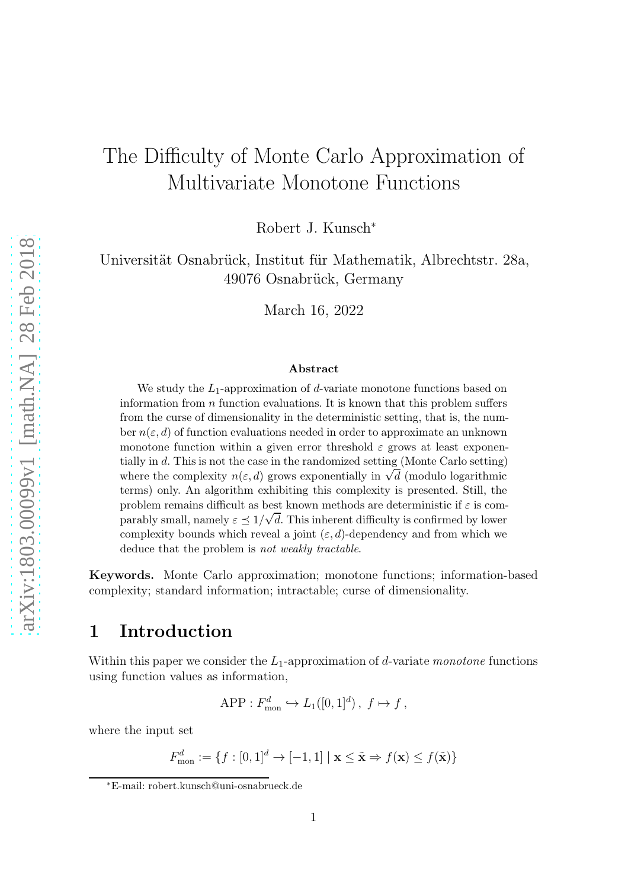# The Difficulty of Monte Carlo Approximation of Multivariate Monotone Functions

Robert J. Kunsch<sup>∗</sup>

Universität Osnabrück, Institut für Mathematik, Albrechtstr. 28a, 49076 Osnabrück, Germany

March 16, 2022

#### Abstract

We study the  $L_1$ -approximation of d-variate monotone functions based on information from  $n$  function evaluations. It is known that this problem suffers from the curse of dimensionality in the deterministic setting, that is, the number  $n(\varepsilon, d)$  of function evaluations needed in order to approximate an unknown monotone function within a given error threshold  $\varepsilon$  grows at least exponentially in d. This is not the case in the randomized setting (Monte Carlo setting) where the complexity  $n(\varepsilon, d)$  grows exponentially in  $\sqrt{d}$  (modulo logarithmic terms) only. An algorithm exhibiting this complexity is presented. Still, the problem remains difficult as best known methods are deterministic if  $\varepsilon$  is comparably small, namely  $\varepsilon \leq 1/\sqrt{d}$ . This inherent difficulty is confirmed by lower complexity bounds which reveal a joint  $(\varepsilon, d)$ -dependency and from which we deduce that the problem is not weakly tractable.

Keywords. Monte Carlo approximation; monotone functions; information-based complexity; standard information; intractable; curse of dimensionality.

# 1 Introduction

Within this paper we consider the  $L_1$ -approximation of d-variate monotone functions using function values as information,

$$
\text{APP}: F_{\text{mon}}^d \hookrightarrow L_1([0,1]^d), \ f \mapsto f,
$$

where the input set

$$
F_{\text{mon}}^d := \{ f : [0,1]^d \to [-1,1] \mid \mathbf{x} \le \tilde{\mathbf{x}} \Rightarrow f(\mathbf{x}) \le f(\tilde{\mathbf{x}}) \}
$$

<sup>∗</sup>E-mail: robert.kunsch@uni-osnabrueck.de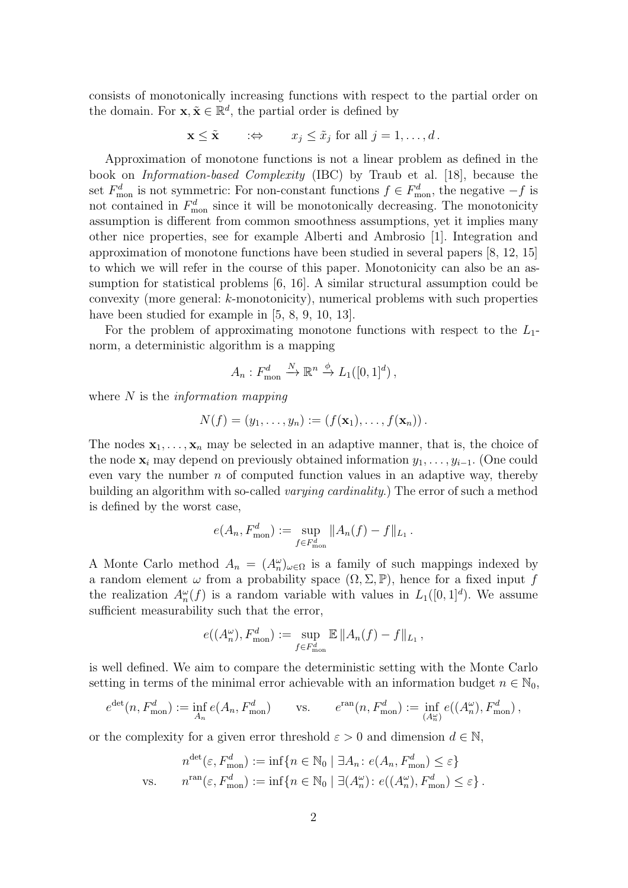<span id="page-1-0"></span>consists of monotonically increasing functions with respect to the partial order on the domain. For  $\mathbf{x}, \tilde{\mathbf{x}} \in \mathbb{R}^d$ , the partial order is defined by

$$
\mathbf{x} \leq \tilde{\mathbf{x}} \qquad : \Leftrightarrow \qquad x_j \leq \tilde{x}_j \text{ for all } j = 1, \ldots, d \, .
$$

Approximation of monotone functions is not a linear problem as defined in the book on Information-based Complexity (IBC) by Traub et al. [\[18\]](#page-26-0), because the set  $F_{\text{mon}}^d$  is not symmetric: For non-constant functions  $f \in F_{\text{mon}}^d$ , the negative  $-f$  is not contained in  $F_{\text{mon}}^d$  since it will be monotonically decreasing. The monotonicity assumption is different from common smoothness assumptions, yet it implies many other nice properties, see for example Alberti and Ambrosio [\[1\]](#page-25-0). Integration and approximation of monotone functions have been studied in several papers [\[8,](#page-25-1) [12,](#page-26-1) [15\]](#page-26-2) to which we will refer in the course of this paper. Monotonicity can also be an assumption for statistical problems [\[6,](#page-25-2) [16\]](#page-26-3). A similar structural assumption could be convexity (more general: k-monotonicity), numerical problems with such properties have been studied for example in [\[5,](#page-25-3) [8,](#page-25-1) [9,](#page-25-4) [10,](#page-25-5) [13\]](#page-26-4).

For the problem of approximating monotone functions with respect to the  $L_1$ norm, a deterministic algorithm is a mapping

$$
A_n: F_{\text{mon}}^d \xrightarrow{N} \mathbb{R}^n \xrightarrow{\phi} L_1([0,1]^d),
$$

where  $N$  is the *information mapping* 

$$
N(f)=(y_1,\ldots,y_n):=(f(\mathbf{x}_1),\ldots,f(\mathbf{x}_n)).
$$

The nodes  $x_1, \ldots, x_n$  may be selected in an adaptive manner, that is, the choice of the node  $\mathbf{x}_i$  may depend on previously obtained information  $y_1, \ldots, y_{i-1}$ . (One could even vary the number  $n$  of computed function values in an adaptive way, thereby building an algorithm with so-called *varying cardinality*.) The error of such a method is defined by the worst case,

$$
e(A_n, F_{\text{mon}}^d) := \sup_{f \in F_{\text{mon}}^d} ||A_n(f) - f||_{L_1}.
$$

A Monte Carlo method  $A_n = (A_n^{\omega})_{\omega \in \Omega}$  is a family of such mappings indexed by a random element  $\omega$  from a probability space  $(\Omega, \Sigma, \mathbb{P})$ , hence for a fixed input f the realization  $A_n^{\omega}(f)$  is a random variable with values in  $L_1([0,1]^d)$ . We assume sufficient measurability such that the error,

$$
e((A_n^{\omega}), F_{\text{mon}}^d) := \sup_{f \in F_{\text{mon}}^d} \mathbb{E} \|A_n(f) - f\|_{L_1},
$$

is well defined. We aim to compare the deterministic setting with the Monte Carlo setting in terms of the minimal error achievable with an information budget  $n \in \mathbb{N}_0$ ,

$$
e^{\det}(n, F_{\text{mon}}^d) := \inf_{A_n} e(A_n, F_{\text{mon}}^d) \qquad \text{vs.} \qquad e^{\operatorname{ran}}(n, F_{\text{mon}}^d) := \inf_{(A_n^{\omega})} e((A_n^{\omega}), F_{\text{mon}}^d),
$$

or the complexity for a given error threshold  $\varepsilon > 0$  and dimension  $d \in \mathbb{N}$ ,

$$
n^{\det}(\varepsilon, F_{\text{mon}}^d) := \inf \{ n \in \mathbb{N}_0 \mid \exists A_n : e(A_n, F_{\text{mon}}^d) \le \varepsilon \}
$$
  
vs. 
$$
n^{\text{ran}}(\varepsilon, F_{\text{mon}}^d) := \inf \{ n \in \mathbb{N}_0 \mid \exists (A_n^{\omega}) : e((A_n^{\omega}), F_{\text{mon}}^d) \le \varepsilon \}.
$$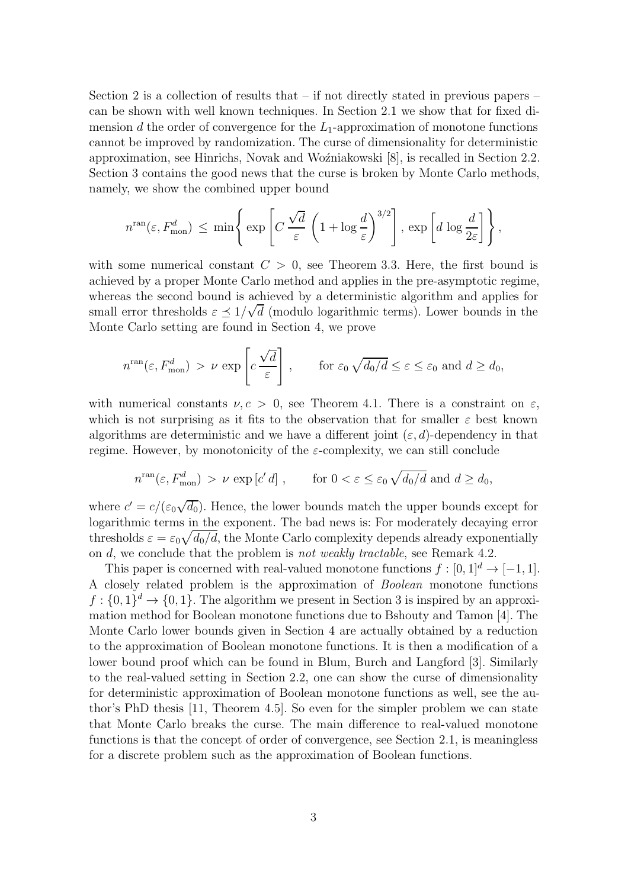<span id="page-2-0"></span>Section [2](#page-3-0) is a collection of results that  $-$  if not directly stated in previous papers  $$ can be shown with well known techniques. In Section [2.1](#page-3-1) we show that for fixed dimension d the order of convergence for the  $L_1$ -approximation of monotone functions cannot be improved by randomization. The curse of dimensionality for deterministic approximation, see Hinrichs, Novak and Woźniakowski [\[8\]](#page-25-1), is recalled in Section [2.2.](#page-5-0) Section [3](#page-6-0) contains the good news that the curse is broken by Monte Carlo methods, namely, we show the combined upper bound

$$
n^{\text{ran}}(\varepsilon, F_{\text{mon}}^d) \, \leq \, \min\Bigg\{\exp\Bigg[ C\,\frac{\sqrt{d}}{\varepsilon}\,\left(1+\log \frac{d}{\varepsilon}\right)^{3/2}\Bigg]\, ,\, \exp\left[d\,\log \frac{d}{2\varepsilon}\right]\Bigg\}\, ,
$$

with some numerical constant  $C > 0$ , see [Theorem 3.3.](#page-10-0) Here, the first bound is achieved by a proper Monte Carlo method and applies in the pre-asymptotic regime, whereas the second bound is achieved by a deterministic algorithm and applies for small error thresholds  $\varepsilon \leq 1/\sqrt{d}$  (modulo logarithmic terms). Lower bounds in the Monte Carlo setting are found in Section [4,](#page-14-0) we prove

$$
n^{\text{ran}}(\varepsilon, F_{\text{mon}}^d) > \nu \exp\left[c\frac{\sqrt{d}}{\varepsilon}\right], \quad \text{for } \varepsilon_0 \sqrt{d_0/d} \le \varepsilon \le \varepsilon_0 \text{ and } d \ge d_0,
$$

with numerical constants  $\nu, c > 0$ , see [Theorem 4.1.](#page-14-1) There is a constraint on  $\varepsilon$ , which is not surprising as it fits to the observation that for smaller  $\varepsilon$  best known algorithms are deterministic and we have a different joint  $(\varepsilon, d)$ -dependency in that regime. However, by monotonicity of the  $\varepsilon$ -complexity, we can still conclude

$$
n^{\text{ran}}(\varepsilon, F_{\text{mon}}^d) > \nu \exp[c'd] , \quad \text{for } 0 < \varepsilon \le \varepsilon_0 \sqrt{d_0/d} \text{ and } d \ge d_0,
$$

where  $c' = c/(\varepsilon_0\sqrt{d_0})$ . Hence, the lower bounds match the upper bounds except for logarithmic terms in the exponent. The bad news is: For moderately decaying error thresholds  $\varepsilon = \varepsilon_0 \sqrt{d_0/d}$ , the Monte Carlo complexity depends already exponentially on d, we conclude that the problem is not weakly tractable, see [Remark 4.2.](#page-15-0)

This paper is concerned with real-valued monotone functions  $f : [0, 1]^d \rightarrow [-1, 1]$ . A closely related problem is the approximation of Boolean monotone functions  $f: \{0,1\}^d \to \{0,1\}$ . The algorithm we present in Section [3](#page-6-0) is inspired by an approximation method for Boolean monotone functions due to Bshouty and Tamon [\[4\]](#page-25-6). The Monte Carlo lower bounds given in Section [4](#page-14-0) are actually obtained by a reduction to the approximation of Boolean monotone functions. It is then a modification of a lower bound proof which can be found in Blum, Burch and Langford [\[3\]](#page-25-7). Similarly to the real-valued setting in [Section 2.2,](#page-5-0) one can show the curse of dimensionality for deterministic approximation of Boolean monotone functions as well, see the author's PhD thesis [\[11,](#page-25-8) Theorem 4.5]. So even for the simpler problem we can state that Monte Carlo breaks the curse. The main difference to real-valued monotone functions is that the concept of order of convergence, see [Section 2.1,](#page-3-1) is meaningless for a discrete problem such as the approximation of Boolean functions.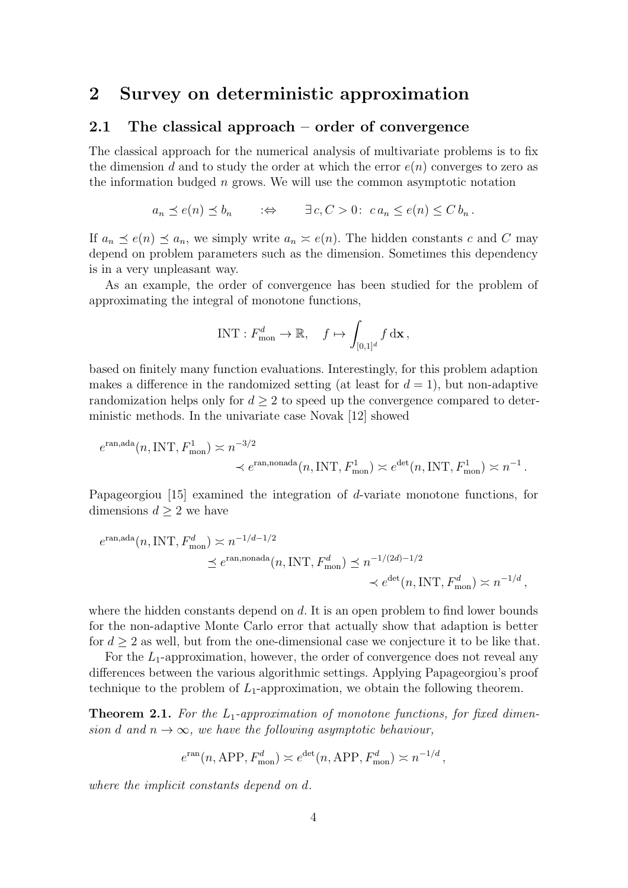### <span id="page-3-3"></span><span id="page-3-1"></span><span id="page-3-0"></span>2 Survey on deterministic approximation

### 2.1 The classical approach – order of convergence

The classical approach for the numerical analysis of multivariate problems is to fix the dimension d and to study the order at which the error  $e(n)$  converges to zero as the information budged  $n$  grows. We will use the common asymptotic notation

$$
a_n \preceq e(n) \preceq b_n
$$
  $\Rightarrow$   $\exists c, C > 0$ :  $ca_n \leq e(n) \leq C b_n$ .

If  $a_n \preceq e(n) \preceq a_n$ , we simply write  $a_n \succeq e(n)$ . The hidden constants c and C may depend on problem parameters such as the dimension. Sometimes this dependency is in a very unpleasant way.

As an example, the order of convergence has been studied for the problem of approximating the integral of monotone functions,

$$
\text{INT}: F^d_{\text{mon}} \to \mathbb{R}, \quad f \mapsto \int_{[0,1]^d} f \, \mathrm{d} \mathbf{x}\,,
$$

based on finitely many function evaluations. Interestingly, for this problem adaption makes a difference in the randomized setting (at least for  $d = 1$ ), but non-adaptive randomization helps only for  $d \geq 2$  to speed up the convergence compared to deterministic methods. In the univariate case Novak [\[12\]](#page-26-1) showed

$$
e^{\text{ran}, \text{ada}}(n, \text{INT}, F_{\text{mon}}^1) \approx n^{-3/2}
$$
  
 $\prec e^{\text{ran}, \text{nonada}}(n, \text{INT}, F_{\text{mon}}^1) \approx e^{\text{det}}(n, \text{INT}, F_{\text{mon}}^1) \approx n^{-1}.$ 

Papageorgiou [\[15\]](#page-26-2) examined the integration of d-variate monotone functions, for dimensions  $d \geq 2$  we have

$$
e^{\text{ran}, \text{ada}}(n, \text{INT}, F_{\text{mon}}^d) \simeq n^{-1/d - 1/2}
$$
  
 $\leq e^{\text{ran}, \text{nonada}}(n, \text{INT}, F_{\text{mon}}^d) \leq n^{-1/(2d) - 1/2}$   
 $\leq e^{\text{det}}(n, \text{INT}, F_{\text{mon}}^d) \simeq n^{-1/d},$ 

where the hidden constants depend on  $d$ . It is an open problem to find lower bounds for the non-adaptive Monte Carlo error that actually show that adaption is better for  $d \geq 2$  as well, but from the one-dimensional case we conjecture it to be like that.

For the  $L_1$ -approximation, however, the order of convergence does not reveal any differences between the various algorithmic settings. Applying Papageorgiou's proof technique to the problem of  $L_1$ -approximation, we obtain the following theorem.

<span id="page-3-2"></span>**Theorem 2.1.** For the  $L_1$ -approximation of monotone functions, for fixed dimension d and  $n \to \infty$ , we have the following asymptotic behaviour,

$$
e^{\operatorname{ran}}(n, \text{APP}, F_{\text{mon}}^d) \simeq e^{\operatorname{det}}(n, \text{APP}, F_{\text{mon}}^d) \simeq n^{-1/d},
$$

where the implicit constants depend on d.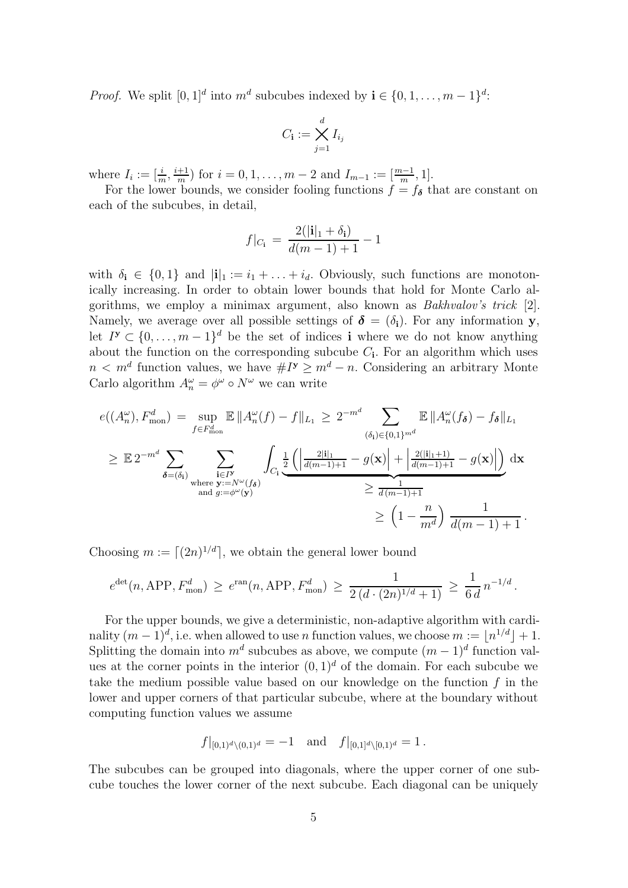<span id="page-4-0"></span>*Proof.* We split  $[0,1]^d$  into  $m^d$  subcubes indexed by  $\mathbf{i} \in \{0,1,\ldots,m-1\}^d$ :

$$
C_{\mathbf{i}} := \bigtimes_{j=1}^d I_{i_j}
$$

where  $I_i := \left[\frac{i}{m}, \frac{i+1}{m}\right]$  $\frac{+1}{m}$ ) for  $i = 0, 1, \ldots, m - 2$  and  $I_{m-1} := \left[\frac{m-1}{m}, 1\right]$ .

For the lower bounds, we consider fooling functions  $f = f_{\delta}$  that are constant on each of the subcubes, in detail,

$$
f|_{C_{\mathbf{i}}} = \frac{2(|\mathbf{i}|_{1} + \delta_{\mathbf{i}})}{d(m-1) + 1} - 1
$$

with  $\delta_i \in \{0,1\}$  and  $|i|_1 := i_1 + \ldots + i_d$ . Obviously, such functions are monotonically increasing. In order to obtain lower bounds that hold for Monte Carlo algorithms, we employ a minimax argument, also known as Bakhvalov's trick [\[2\]](#page-25-9). Namely, we average over all possible settings of  $\delta = (\delta_i)$ . For any information y, let  $I^{\mathbf{y}} \subset \{0, \ldots, m-1\}^d$  be the set of indices **i** where we do not know anything about the function on the corresponding subcube  $C_i$ . For an algorithm which uses  $n < m<sup>d</sup>$  function values, we have  $#I^y \geq m<sup>d</sup> - n$ . Considering an arbitrary Monte Carlo algorithm  $A_n^{\omega} = \phi^{\omega} \circ N^{\omega}$  we can write

$$
e((A_n^{\omega}), F_{\text{mon}}^d) = \sup_{f \in F_{\text{mon}}^d} \mathbb{E} \|A_n^{\omega}(f) - f\|_{L_1} \ge 2^{-m^d} \sum_{(\delta_i) \in \{0, 1\}^{m^d}} \mathbb{E} \|A_n^{\omega}(f_{\delta}) - f_{\delta}\|_{L_1}
$$
  
\n
$$
\ge \mathbb{E} 2^{-m^d} \sum_{\delta = (\delta_i)} \sum_{\substack{\mathbf{i} \in P_{\text{mon}} \\ \text{where } \mathbf{y} := N^{\omega}(f_{\delta})}} \int_{C_i} \underbrace{\frac{1}{2} \left( \left| \frac{2|\mathbf{i}|_1}{d(m-1)+1} - g(\mathbf{x}) \right| + \left| \frac{2(|\mathbf{i}|_1+1)}{d(m-1)+1} - g(\mathbf{x}) \right| \right)}_{\ge \frac{1}{d(m-1)+1}} d\mathbf{x}
$$
  
\n
$$
\ge \left( 1 - \frac{n}{m^d} \right) \frac{1}{d(m-1)+1}.
$$

Choosing  $m := \lfloor (2n)^{1/d} \rfloor$ , we obtain the general lower bound

$$
e^{\det}(n, \text{APP}, F_{\text{mon}}^d) \ge e^{\text{ran}}(n, \text{APP}, F_{\text{mon}}^d) \ge \frac{1}{2(d \cdot (2n)^{1/d} + 1)} \ge \frac{1}{6 d} n^{-1/d}.
$$

For the upper bounds, we give a deterministic, non-adaptive algorithm with cardinality  $(m-1)^d$ , i.e. when allowed to use *n* function values, we choose  $m := \lfloor n^{1/d} \rfloor + 1$ . Splitting the domain into  $m^d$  subcubes as above, we compute  $(m-1)^d$  function values at the corner points in the interior  $(0, 1)^d$  of the domain. For each subcube we take the medium possible value based on our knowledge on the function  $f$  in the lower and upper corners of that particular subcube, where at the boundary without computing function values we assume

$$
f|_{[0,1)^d\setminus(0,1)^d} = -1
$$
 and  $f|_{[0,1]^d\setminus[0,1)^d} = 1$ .

The subcubes can be grouped into diagonals, where the upper corner of one subcube touches the lower corner of the next subcube. Each diagonal can be uniquely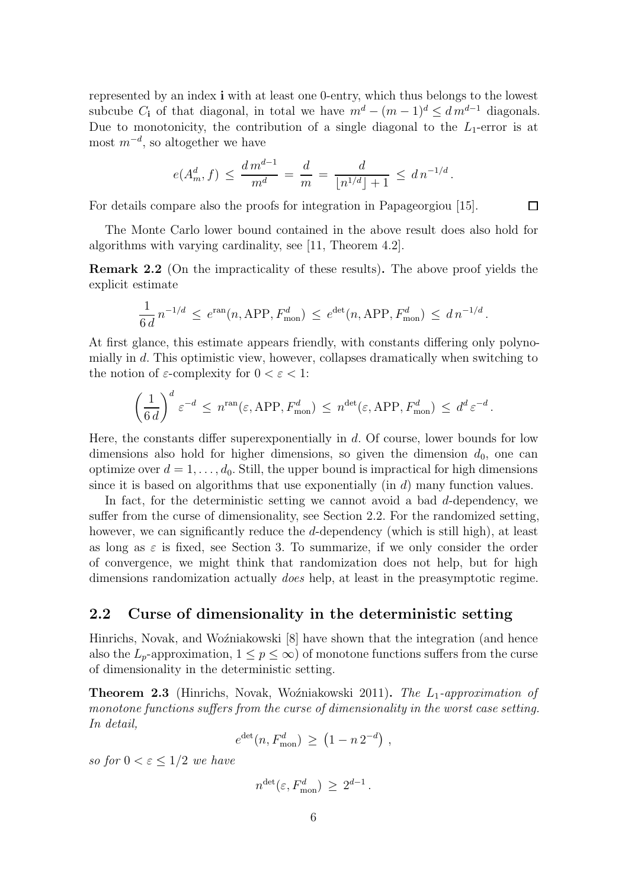<span id="page-5-2"></span>represented by an index i with at least one 0-entry, which thus belongs to the lowest subcube C<sub>i</sub> of that diagonal, in total we have  $m^d - (m-1)^d \leq dm^{d-1}$  diagonals. Due to monotonicity, the contribution of a single diagonal to the  $L_1$ -error is at most  $m^{-d}$ , so altogether we have

$$
e(A_m^d, f) \le \frac{d m^{d-1}}{m^d} = \frac{d}{m} = \frac{d}{\lfloor n^{1/d} \rfloor + 1} \le d n^{-1/d}.
$$

For details compare also the proofs for integration in Papageorgiou [\[15\]](#page-26-2).

The Monte Carlo lower bound contained in the above result does also hold for algorithms with varying cardinality, see [\[11,](#page-25-8) Theorem 4.2].

 $\Box$ 

<span id="page-5-1"></span>Remark 2.2 (On the impracticality of these results). The above proof yields the explicit estimate

$$
\frac{1}{6 d} n^{-1/d} \le e^{\text{ran}}(n, \text{APP}, F_{\text{mon}}^d) \le e^{\text{det}}(n, \text{APP}, F_{\text{mon}}^d) \le d n^{-1/d}.
$$

At first glance, this estimate appears friendly, with constants differing only polynomially in d. This optimistic view, however, collapses dramatically when switching to the notion of  $\varepsilon$ -complexity for  $0 < \varepsilon < 1$ :

$$
\left(\frac{1}{6 d}\right)^d \varepsilon^{-d} \leq n^{\text{ran}}(\varepsilon, \text{APP}, F_{\text{mon}}^d) \leq n^{\text{det}}(\varepsilon, \text{APP}, F_{\text{mon}}^d) \leq d^d \varepsilon^{-d}.
$$

Here, the constants differ superexponentially in  $d$ . Of course, lower bounds for low dimensions also hold for higher dimensions, so given the dimension  $d_0$ , one can optimize over  $d = 1, \ldots, d_0$ . Still, the upper bound is impractical for high dimensions since it is based on algorithms that use exponentially  $(in d)$  many function values.

In fact, for the deterministic setting we cannot avoid a bad d-dependency, we suffer from the curse of dimensionality, see [Section 2.2.](#page-5-0) For the randomized setting, however, we can significantly reduce the  $d$ -dependency (which is still high), at least as long as  $\varepsilon$  is fixed, see [Section 3.](#page-6-0) To summarize, if we only consider the order of convergence, we might think that randomization does not help, but for high dimensions randomization actually does help, at least in the preasymptotic regime.

### <span id="page-5-0"></span>2.2 Curse of dimensionality in the deterministic setting

Hinrichs, Novak, and Woźniakowski [\[8\]](#page-25-1) have shown that the integration (and hence also the  $L_p$ -approximation,  $1 \leq p \leq \infty$ ) of monotone functions suffers from the curse of dimensionality in the deterministic setting.

**Theorem 2.3** (Hinrichs, Novak, Woźniakowski 2011). The  $L_1$ -approximation of monotone functions suffers from the curse of dimensionality in the worst case setting. In detail,

$$
e^{\det}(n, F_{\text{mon}}^d) \ge (1 - n 2^{-d}),
$$

so for  $0 < \varepsilon \leq 1/2$  we have

$$
n^{\det}(\varepsilon, F_{\text{mon}}^d) \geq 2^{d-1}.
$$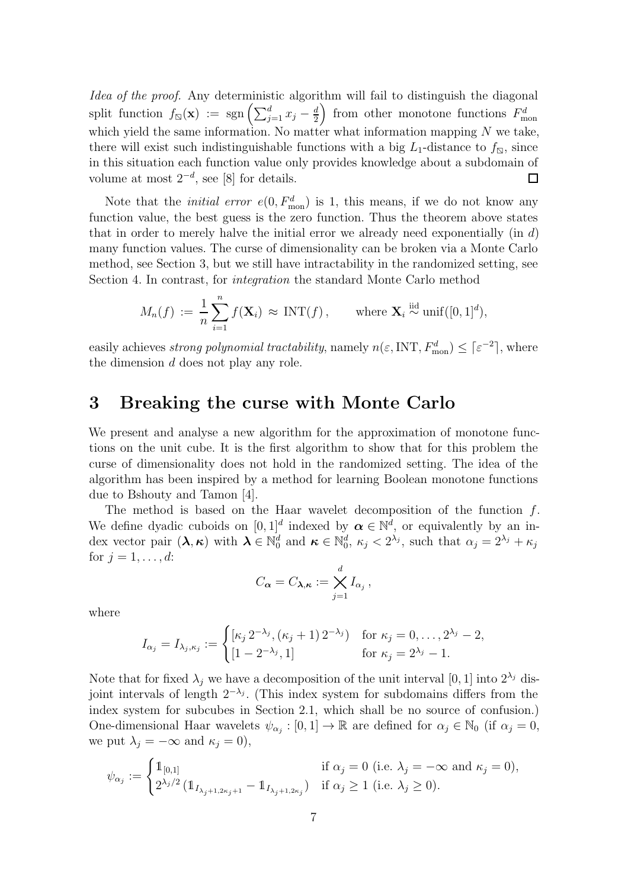<span id="page-6-1"></span>Idea of the proof. Any deterministic algorithm will fail to distinguish the diagonal split function  $f_{\mathbb{Q}}(\mathbf{x}) := \text{sgn}\left(\sum_{j=1}^d x_j - \frac{d}{2}\right)$ ) from other monotone functions  $F_{\text{mon}}^d$ 2 which yield the same information. No matter what information mapping  $N$  we take, there will exist such indistinguishable functions with a big  $L_1$ -distance to  $f_{\rm N}$ , since in this situation each function value only provides knowledge about a subdomain of volume at most  $2^{-d}$ , see [\[8\]](#page-25-1) for details.  $\Box$ 

Note that the *initial error*  $e(0, F_{\text{mon}}^d)$  is 1, this means, if we do not know any function value, the best guess is the zero function. Thus the theorem above states that in order to merely halve the initial error we already need exponentially (in  $d$ ) many function values. The curse of dimensionality can be broken via a Monte Carlo method, see [Section 3,](#page-6-0) but we still have intractability in the randomized setting, see [Section 4.](#page-14-0) In contrast, for integration the standard Monte Carlo method

$$
M_n(f) := \frac{1}{n} \sum_{i=1}^n f(\mathbf{X}_i) \approx \text{INT}(f), \quad \text{where } \mathbf{X}_i \stackrel{\text{iid}}{\sim} \text{unif}([0,1]^d),
$$

easily achieves *strong polynomial tractability*, namely  $n(\varepsilon, INT, F_{\text{mon}}^d) \leq [\varepsilon^{-2}]$ , where the dimension d does not play any role.

# <span id="page-6-0"></span>3 Breaking the curse with Monte Carlo

We present and analyse a new algorithm for the approximation of monotone functions on the unit cube. It is the first algorithm to show that for this problem the curse of dimensionality does not hold in the randomized setting. The idea of the algorithm has been inspired by a method for learning Boolean monotone functions due to Bshouty and Tamon [\[4\]](#page-25-6).

The method is based on the Haar wavelet decomposition of the function  $f$ . We define dyadic cuboids on  $[0, 1]^d$  indexed by  $\alpha \in \mathbb{N}^d$ , or equivalently by an index vector pair  $(\lambda, \kappa)$  with  $\lambda \in \mathbb{N}_0^d$  and  $\kappa \in \mathbb{N}_0^d$ ,  $\kappa_j < 2^{\lambda_j}$ , such that  $\alpha_j = 2^{\lambda_j} + \kappa_j$ for  $j = 1, ..., d$ :

$$
C_{\boldsymbol{\alpha}}=C_{\boldsymbol{\lambda},\boldsymbol{\kappa}}:=\bigtimes_{j=1}^d I_{\alpha_j},
$$

where

$$
I_{\alpha_j} = I_{\lambda_j, \kappa_j} := \begin{cases} [\kappa_j 2^{-\lambda_j}, (\kappa_j + 1) 2^{-\lambda_j}] & \text{for } \kappa_j = 0, \dots, 2^{\lambda_j} - 2, \\ [1 - 2^{-\lambda_j}, 1] & \text{for } \kappa_j = 2^{\lambda_j} - 1. \end{cases}
$$

Note that for fixed  $\lambda_j$  we have a decomposition of the unit interval [0, 1] into  $2^{\lambda_j}$  disjoint intervals of length  $2^{-\lambda_j}$ . (This index system for subdomains differs from the index system for subcubes in [Section 2.1,](#page-3-1) which shall be no source of confusion.) One-dimensional Haar wavelets  $\psi_{\alpha_j} : [0,1] \to \mathbb{R}$  are defined for  $\alpha_j \in \mathbb{N}_0$  (if  $\alpha_j = 0$ , we put  $\lambda_j = -\infty$  and  $\kappa_j = 0$ ),

$$
\psi_{\alpha_j}:=\begin{cases}1\!\!1_{[0,1]} & \text{if } \alpha_j=0 \text{ (i.e. }\lambda_j=-\infty \text{ and }\kappa_j=0),\\2^{\lambda_j/2}\left(1\!\!1_{I_{\lambda_j+1,2\kappa_j+1}}-1\!\!1_{I_{\lambda_j+1,2\kappa_j}}\right) & \text{if } \alpha_j\geq 1 \text{ (i.e. }\lambda_j\geq 0).\end{cases}
$$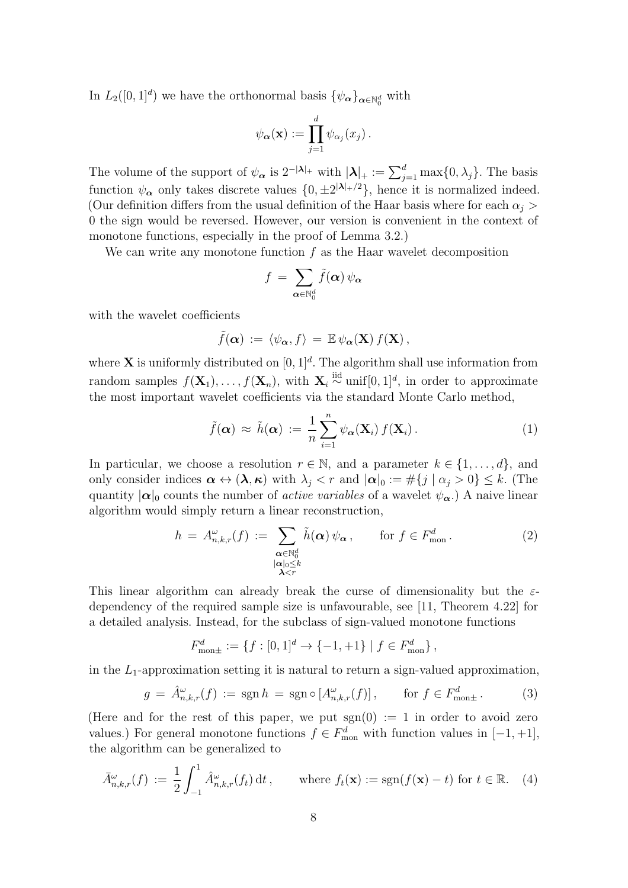<span id="page-7-4"></span>In  $L_2([0,1]^d)$  we have the orthonormal basis  $\{\psi_{\alpha}\}_{{\alpha}\in\mathbb{N}_0^d}$  with

$$
\psi_{\boldsymbol{\alpha}}(\mathbf{x}) := \prod_{j=1}^d \psi_{\alpha_j}(x_j) .
$$

The volume of the support of  $\psi_{\alpha}$  is  $2^{-|\lambda|_+}$  with  $|\lambda|_+ := \sum_{j=1}^d \max\{0, \lambda_j\}$ . The basis function  $\psi_{\alpha}$  only takes discrete values  $\{0, \pm 2^{|\lambda|_+/2}\}$ , hence it is normalized indeed. (Our definition differs from the usual definition of the Haar basis where for each  $\alpha_i$ ) 0 the sign would be reversed. However, our version is convenient in the context of monotone functions, especially in the proof of [Lemma 3.2.](#page-8-0))

We can write any monotone function  $f$  as the Haar wavelet decomposition

$$
f\,=\,\sum_{{\boldsymbol{\alpha}}\in{\mathbb{N}}^d_0}\tilde{f}({\boldsymbol{\alpha}})\,\psi_{\boldsymbol{\alpha}}
$$

with the wavelet coefficients

$$
\tilde{f}(\boldsymbol{\alpha}) := \langle \psi_{\boldsymbol{\alpha}}, f \rangle = \mathbb{E} \psi_{\boldsymbol{\alpha}}(\mathbf{X}) f(\mathbf{X}),
$$

where **X** is uniformly distributed on  $[0, 1]^d$ . The algorithm shall use information from random samples  $f(\mathbf{X}_1), \ldots, f(\mathbf{X}_n)$ , with  $\mathbf{X}_i \stackrel{\text{iid}}{\sim} \text{unif}[0,1]^d$ , in order to approximate the most important wavelet coefficients via the standard Monte Carlo method,

<span id="page-7-3"></span>
$$
\tilde{f}(\boldsymbol{\alpha}) \approx \tilde{h}(\boldsymbol{\alpha}) := \frac{1}{n} \sum_{i=1}^{n} \psi_{\boldsymbol{\alpha}}(\mathbf{X}_i) f(\mathbf{X}_i).
$$
\n(1)

In particular, we choose a resolution  $r \in \mathbb{N}$ , and a parameter  $k \in \{1, \ldots, d\}$ , and only consider indices  $\alpha \leftrightarrow (\lambda, \kappa)$  with  $\lambda_i < r$  and  $|\alpha|_0 := \#\{j \mid \alpha_j > 0\} \leq k$ . (The quantity  $|\alpha|_0$  counts the number of *active variables* of a wavelet  $\psi_{\alpha}$ .) A naive linear algorithm would simply return a linear reconstruction,

<span id="page-7-0"></span>
$$
h = A_{n,k,r}^{\omega}(f) := \sum_{\substack{\alpha \in \mathbb{N}_0^d \\ |\alpha|_0 \le k \\ \lambda < r}} \tilde{h}(\alpha) \psi_{\alpha}, \qquad \text{for } f \in F_{\text{mon}}^d. \tag{2}
$$

This linear algorithm can already break the curse of dimensionality but the  $\varepsilon$ dependency of the required sample size is unfavourable, see [\[11,](#page-25-8) Theorem 4.22] for a detailed analysis. Instead, for the subclass of sign-valued monotone functions

$$
F_{\text{mon}\pm}^d := \{ f : [0,1]^d \to \{-1,+1\} \mid f \in F_{\text{mon}}^d \},
$$

in the  $L_1$ -approximation setting it is natural to return a sign-valued approximation,

<span id="page-7-1"></span>
$$
g = \hat{A}_{n,k,r}^{\omega}(f) := \operatorname{sgn} h = \operatorname{sgn} \circ [A_{n,k,r}^{\omega}(f)], \qquad \text{for } f \in F_{\text{mon}\pm}^d. \tag{3}
$$

(Here and for the rest of this paper, we put  $sgn(0) := 1$  in order to avoid zero values.) For general monotone functions  $f \in F_{\text{mon}}^d$  with function values in  $[-1, +1]$ , the algorithm can be generalized to

<span id="page-7-2"></span>
$$
\bar{A}_{n,k,r}^{\omega}(f) := \frac{1}{2} \int_{-1}^{1} \hat{A}_{n,k,r}^{\omega}(f_t) dt, \quad \text{where } f_t(\mathbf{x}) := \text{sgn}(f(\mathbf{x}) - t) \text{ for } t \in \mathbb{R}.
$$
 (4)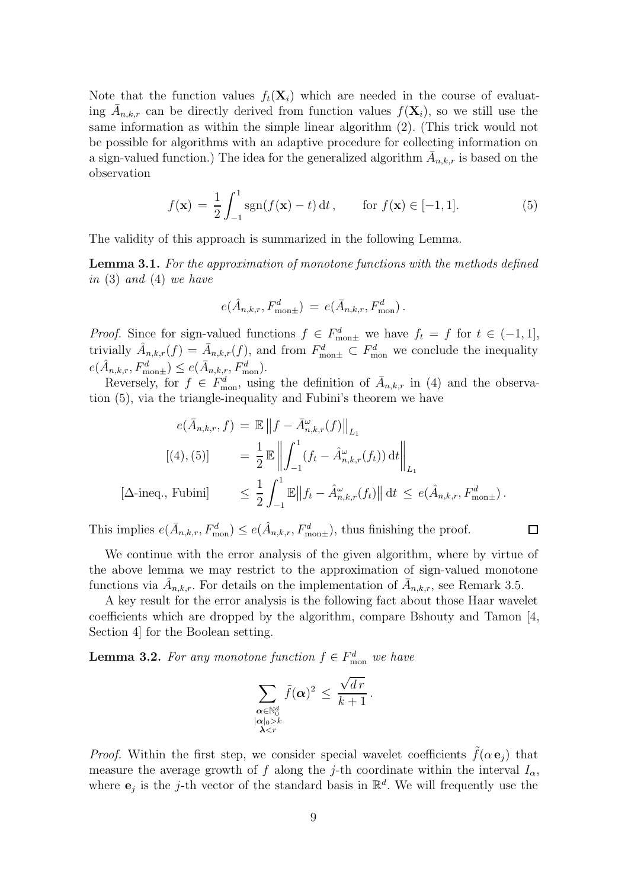<span id="page-8-3"></span>Note that the function values  $f_t(\mathbf{X}_i)$  which are needed in the course of evaluating  $\bar{A}_{n,k,r}$  can be directly derived from function values  $f(\mathbf{X}_i)$ , so we still use the same information as within the simple linear algorithm [\(2\)](#page-7-0). (This trick would not be possible for algorithms with an adaptive procedure for collecting information on a sign-valued function.) The idea for the generalized algorithm  $\bar{A}_{n,k,r}$  is based on the observation

<span id="page-8-1"></span>
$$
f(\mathbf{x}) = \frac{1}{2} \int_{-1}^{1} \text{sgn}(f(\mathbf{x}) - t) dt, \quad \text{for } f(\mathbf{x}) \in [-1, 1]. \tag{5}
$$

The validity of this approach is summarized in the following Lemma.

<span id="page-8-2"></span>Lemma 3.1. For the approximation of monotone functions with the methods defined in [\(3\)](#page-7-1) and [\(4\)](#page-7-2) we have

$$
e(\hat{A}_{n,k,r}, F_{\text{mon}\pm}^d) = e(\bar{A}_{n,k,r}, F_{\text{mon}}^d).
$$

*Proof.* Since for sign-valued functions  $f \in F_{\text{mon}\pm}^d$  we have  $f_t = f$  for  $t \in (-1,1]$ , trivially  $\hat{A}_{n,k,r}(f) = \bar{A}_{n,k,r}(f)$ , and from  $F_{\text{mon}\pm}^d \subset F_{\text{mon}}^d$  we conclude the inequality  $e(\hat{A}_{n,k,r}, F_{\text{mon}\pm}^d) \leq e(\bar{A}_{n,k,r}, F_{\text{mon}}^d).$ 

Reversely, for  $f \in F_{\text{mon}}^d$ , using the definition of  $\bar{A}_{n,k,r}$  in [\(4\)](#page-7-2) and the observation [\(5\)](#page-8-1), via the triangle-inequality and Fubini's theorem we have

$$
e(\bar{A}_{n,k,r}, f) = \mathbb{E} \|f - \bar{A}_{n,k,r}^{\omega}(f)\|_{L_1}
$$
  
\n
$$
[(4), (5)] = \frac{1}{2} \mathbb{E} \left\| \int_{-1}^{1} (f_t - \hat{A}_{n,k,r}^{\omega}(f_t)) dt \right\|_{L_1}
$$
  
\n
$$
[\Delta \text{-ineq.}, \text{Fubini}] \leq \frac{1}{2} \int_{-1}^{1} \mathbb{E} \|f_t - \hat{A}_{n,k,r}^{\omega}(f_t)\| dt \leq e(\hat{A}_{n,k,r}, F_{\text{mon}\pm}^d).
$$

This implies  $e(\bar{A}_{n,k,r}, F_{\text{mon}}^d) \le e(\hat{A}_{n,k,r}, F_{\text{mon}\pm}^d)$ , thus finishing the proof.

We continue with the error analysis of the given algorithm, where by virtue of the above lemma we may restrict to the approximation of sign-valued monotone functions via  $\hat{A}_{n,k,r}$ . For details on the implementation of  $\bar{A}_{n,k,r}$ , see [Remark 3.5.](#page-12-0)

A key result for the error analysis is the following fact about those Haar wavelet coefficients which are dropped by the algorithm, compare Bshouty and Tamon [\[4,](#page-25-6) Section 4] for the Boolean setting.

<span id="page-8-0"></span>**Lemma 3.2.** For any monotone function  $f \in F_{\text{mon}}^d$  we have

$$
\sum_{\substack{\boldsymbol{\alpha}\in\mathbb{N}_0^d\\|\boldsymbol{\alpha}|_0>\boldsymbol{k}\\ \boldsymbol{\lambda}
$$

*Proof.* Within the first step, we consider special wavelet coefficients  $\hat{f}(\alpha \mathbf{e}_i)$  that measure the average growth of f along the j-th coordinate within the interval  $I_{\alpha}$ , where  $e_j$  is the j-th vector of the standard basis in  $\mathbb{R}^d$ . We will frequently use the

$$
\Box
$$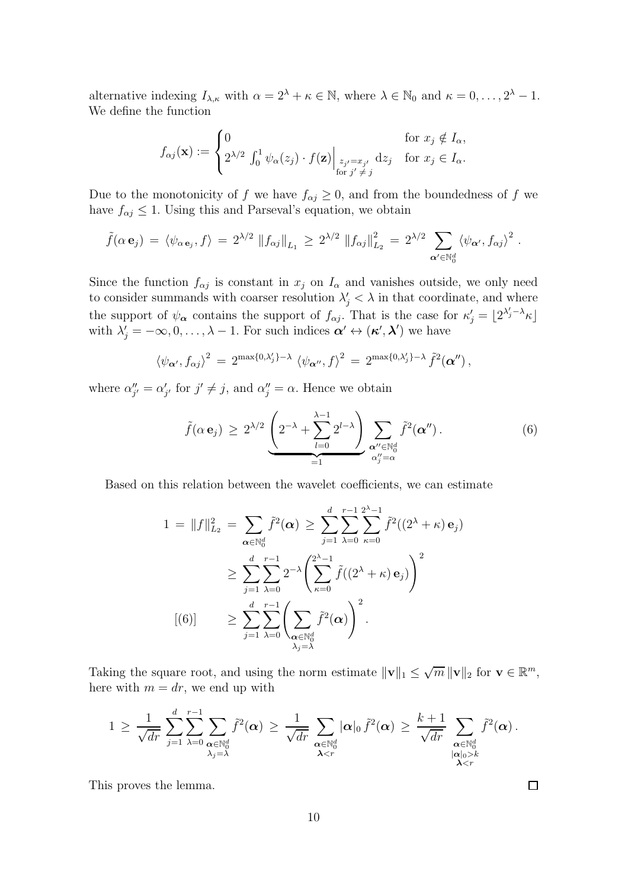alternative indexing  $I_{\lambda,\kappa}$  with  $\alpha = 2^{\lambda} + \kappa \in \mathbb{N}$ , where  $\lambda \in \mathbb{N}_0$  and  $\kappa = 0, \ldots, 2^{\lambda} - 1$ . We define the function

$$
f_{\alpha j}(\mathbf{x}) := \begin{cases} 0 & \text{for } x_j \notin I_{\alpha}, \\ 2^{\lambda/2} \int_0^1 \psi_{\alpha}(z_j) \cdot f(\mathbf{z}) \Big|_{\begin{subarray}{l} z_{j'} = x_{j'} \\ \text{for } j' \neq j \end{subarray}} \mathrm{d} z_j & \text{for } x_j \in I_{\alpha}. \end{cases}
$$

Due to the monotonicity of f we have  $f_{\alpha j} \geq 0$ , and from the boundedness of f we have  $f_{\alpha j} \leq 1$ . Using this and Parseval's equation, we obtain

$$
\tilde{f}(\alpha \mathbf{e}_j) = \langle \psi_{\alpha \mathbf{e}_j}, f \rangle = 2^{\lambda/2} \|f_{\alpha j}\|_{L_1} \geq 2^{\lambda/2} \|f_{\alpha j}\|_{L_2}^2 = 2^{\lambda/2} \sum_{\alpha' \in \mathbb{N}_0^d} \langle \psi_{\alpha'}, f_{\alpha j} \rangle^2.
$$

Since the function  $f_{\alpha i}$  is constant in  $x_i$  on  $I_{\alpha}$  and vanishes outside, we only need to consider summands with coarser resolution  $\lambda'_j < \lambda$  in that coordinate, and where the support of  $\psi_{\alpha}$  contains the support of  $f_{\alpha j}$ . That is the case for  $\kappa'_{j} = \lfloor 2^{\lambda'_{j}-\lambda} \kappa \rfloor$ with  $\lambda'_j = -\infty, 0, \ldots, \lambda - 1$ . For such indices  $\alpha' \leftrightarrow (\kappa', \lambda')$  we have

$$
\langle \psi_{\boldsymbol{\alpha}'}, f_{\alpha j} \rangle^2 = 2^{\max\{0, \lambda'_j\} - \lambda} \langle \psi_{\boldsymbol{\alpha}''}, f \rangle^2 = 2^{\max\{0, \lambda'_j\} - \lambda} \tilde{f}^2(\boldsymbol{\alpha}''),
$$

where  $\alpha''_{j'} = \alpha'_{j'}$  for  $j' \neq j$ , and  $\alpha''_{j} = \alpha$ . Hence we obtain

<span id="page-9-0"></span>
$$
\tilde{f}(\alpha \mathbf{e}_j) \geq 2^{\lambda/2} \underbrace{\left(2^{-\lambda} + \sum_{l=0}^{\lambda-1} 2^{l-\lambda}\right)}_{=1} \sum_{\substack{\mathbf{\alpha}'' \in \mathbb{N}_0^d \\ \alpha''_j = \alpha}} \tilde{f}^2(\mathbf{\alpha}''). \tag{6}
$$

Based on this relation between the wavelet coefficients, we can estimate

$$
1 = \|f\|_{L_2}^2 = \sum_{\alpha \in \mathbb{N}_0^d} \tilde{f}^2(\alpha) \ge \sum_{j=1}^d \sum_{\lambda=0}^{r-1} \sum_{\kappa=0}^{2^{\lambda}-1} \tilde{f}^2((2^{\lambda} + \kappa) \mathbf{e}_j)
$$
  
\n
$$
\ge \sum_{j=1}^d \sum_{\lambda=0}^{r-1} 2^{-\lambda} \left( \sum_{\kappa=0}^{2^{\lambda}-1} \tilde{f}((2^{\lambda} + \kappa) \mathbf{e}_j) \right)^2
$$
  
\n
$$
[(6)] \ge \sum_{j=1}^d \sum_{\lambda=0}^{r-1} \left( \sum_{\substack{\alpha \in \mathbb{N}_0^d \\ \lambda_j = \lambda}} \tilde{f}^2(\alpha) \right)^2.
$$

Taking the square root, and using the norm estimate  $\|\mathbf{v}\|_1 \leq \sqrt{m} \|\mathbf{v}\|_2$  for  $\mathbf{v} \in \mathbb{R}^m$ , here with  $m = dr$ , we end up with

$$
1\,\geq\,\frac{1}{\sqrt{dr}}\,\sum_{j=1}^d\sum_{\substack{\boldsymbol{\lambda}=0 \\ \lambda_j=\lambda}}^{n-1}\sum_{\substack{\boldsymbol{\alpha}\in\mathbb{N}_0^d \\ \lambda_j=\lambda}}\tilde{f}^2(\boldsymbol{\alpha})\,\geq\,\frac{1}{\sqrt{dr}}\,\sum_{\substack{\boldsymbol{\alpha}\in\mathbb{N}_0^d \\ \boldsymbol{\lambda}k \\ \boldsymbol{\lambda}
$$

This proves the lemma.

 $\Box$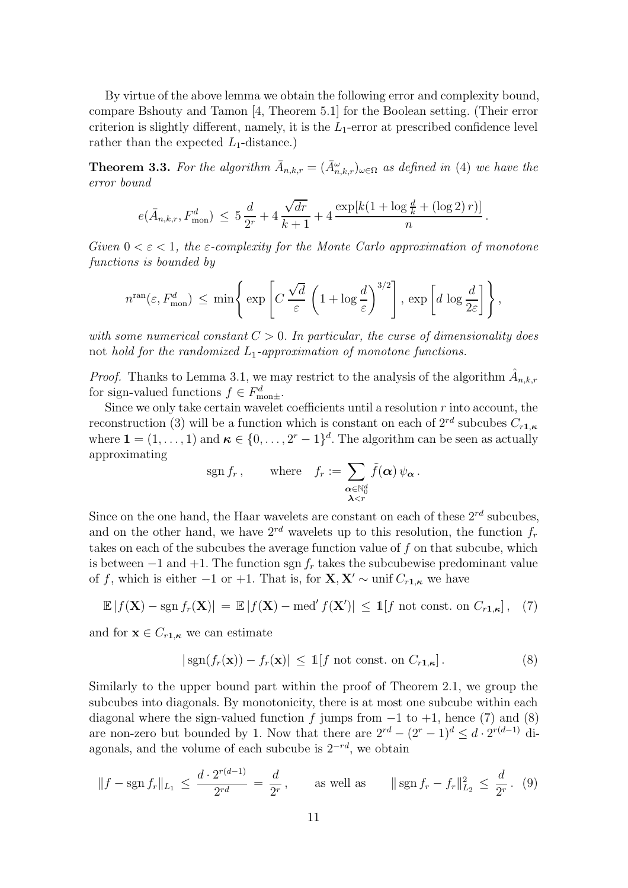<span id="page-10-4"></span>By virtue of the above lemma we obtain the following error and complexity bound, compare Bshouty and Tamon [\[4,](#page-25-6) Theorem 5.1] for the Boolean setting. (Their error criterion is slightly different, namely, it is the  $L_1$ -error at prescribed confidence level rather than the expected  $L_1$ -distance.)

<span id="page-10-0"></span>**Theorem 3.3.** For the algorithm  $\bar{A}_{n,k,r} = (\bar{A}_{n,k,r}^{\omega})_{\omega \in \Omega}$  as defined in [\(4\)](#page-7-2) we have the error bound

$$
e(\bar{A}_{n,k,r}, F_{\text{mon}}^d) \le 5\frac{d}{2^r} + 4\frac{\sqrt{dr}}{k+1} + 4\frac{\exp[k(1+\log\frac{d}{k} + (\log 2) r)]}{n}.
$$

Given  $0 < \varepsilon < 1$ , the  $\varepsilon$ -complexity for the Monte Carlo approximation of monotone functions is bounded by

$$
n^{\text{ran}}(\varepsilon, F_{\text{mon}}^d) \, \leq \, \min\Bigg\{\exp\Bigg[C\,\frac{\sqrt{d}}{\varepsilon}\,\left(1+\log \frac{d}{\varepsilon}\right)^{3/2}\Bigg]\, ,\, \exp\left[d\,\log \frac{d}{2\varepsilon}\right]\Bigg\}\, ,
$$

with some numerical constant  $C > 0$ . In particular, the curse of dimensionality does not hold for the randomized  $L_1$ -approximation of monotone functions.

*Proof.* Thanks to [Lemma 3.1,](#page-8-2) we may restrict to the analysis of the algorithm  $\hat{A}_{n,k,r}$ for sign-valued functions  $f \in F_{\text{mon}\pm}^d$ .

Since we only take certain wavelet coefficients until a resolution  $r$  into account, the reconstruction [\(3\)](#page-7-1) will be a function which is constant on each of  $2^{rd}$  subcubes  $C_{r1,\kappa}$ where  $\mathbf{1} = (1, \ldots, 1)$  and  $\boldsymbol{\kappa} \in \{0, \ldots, 2^{r} - 1\}^{d}$ . The algorithm can be seen as actually approximating

$$
\operatorname{sgn} f_r, \qquad \text{where} \quad f_r := \sum_{\substack{\boldsymbol{\alpha} \in \mathbb{N}_0^d \\ \boldsymbol{\lambda} < r}} \tilde{f}(\boldsymbol{\alpha}) \, \psi_{\boldsymbol{\alpha}} \, .
$$

Since on the one hand, the Haar wavelets are constant on each of these  $2^{rd}$  subcubes, and on the other hand, we have  $2^{rd}$  wavelets up to this resolution, the function  $f_r$ takes on each of the subcubes the average function value of f on that subcube, which is between  $-1$  and  $+1$ . The function sgn  $f_r$  takes the subcubewise predominant value of f, which is either  $-1$  or  $+1$ . That is, for  $X, X' \sim \text{unif } C_{r1,\kappa}$  we have

<span id="page-10-1"></span>
$$
\mathbb{E}|f(\mathbf{X}) - \operatorname{sgn} f_r(\mathbf{X})| = \mathbb{E}|f(\mathbf{X}) - \operatorname{med}' f(\mathbf{X}')| \le 1[f \text{ not const. on } C_{r1,\kappa}], \quad (7)
$$

and for  $\mathbf{x} \in C_{r1,\kappa}$  we can estimate

<span id="page-10-2"></span>
$$
|\operatorname{sgn}(f_r(\mathbf{x})) - f_r(\mathbf{x})| \le \mathbb{1}[f \text{ not const. on } C_{r1,\kappa}].
$$
 (8)

Similarly to the upper bound part within the proof of [Theorem 2.1,](#page-3-2) we group the subcubes into diagonals. By monotonicity, there is at most one subcube within each diagonal where the sign-valued function f jumps from  $-1$  to  $+1$ , hence [\(7\)](#page-10-1) and [\(8\)](#page-10-2) are non-zero but bounded by 1. Now that there are  $2^{rd} - (2^r - 1)^d \leq d \cdot 2^{r(d-1)}$  diagonals, and the volume of each subcube is  $2^{-rd}$ , we obtain

<span id="page-10-3"></span>
$$
||f - \operatorname{sgn} f_r||_{L_1} \le \frac{d \cdot 2^{r(d-1)}}{2^{rd}} = \frac{d}{2^r}, \qquad \text{as well as} \qquad ||\operatorname{sgn} f_r - f_r||_{L_2}^2 \le \frac{d}{2^r}.
$$
 (9)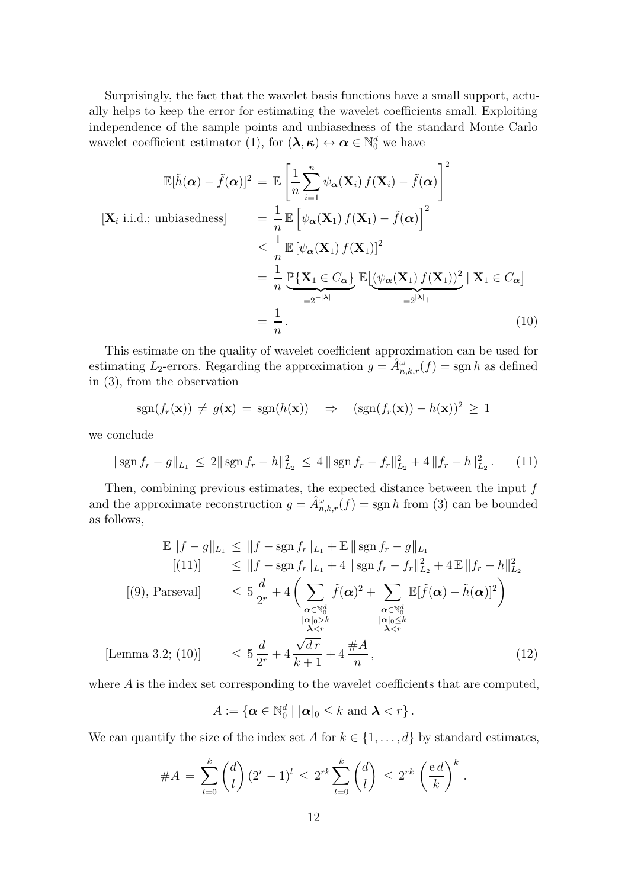Surprisingly, the fact that the wavelet basis functions have a small support, actually helps to keep the error for estimating the wavelet coefficients small. Exploiting independence of the sample points and unbiasedness of the standard Monte Carlo wavelet coefficient estimator [\(1\)](#page-7-3), for  $(\lambda, \kappa) \leftrightarrow \alpha \in \mathbb{N}_0^d$  we have

$$
\mathbb{E}[\tilde{h}(\alpha) - \tilde{f}(\alpha)]^2 = \mathbb{E}\left[\frac{1}{n}\sum_{i=1}^n \psi_{\alpha}(\mathbf{X}_i) f(\mathbf{X}_i) - \tilde{f}(\alpha)\right]^2
$$
  
\n
$$
[\mathbf{X}_i \text{ i.i.d.}; \text{ unbiasedness}] = \frac{1}{n} \mathbb{E}\left[\psi_{\alpha}(\mathbf{X}_1) f(\mathbf{X}_1) - \tilde{f}(\alpha)\right]^2
$$
  
\n
$$
\leq \frac{1}{n} \mathbb{E}[\psi_{\alpha}(\mathbf{X}_1) f(\mathbf{X}_1)]^2
$$
  
\n
$$
= \frac{1}{n} \mathbb{P}\{\mathbf{X}_1 \in C_{\alpha}\} \mathbb{E}\left[\psi_{\alpha}(\mathbf{X}_1) f(\mathbf{X}_1)\right]^2 | \mathbf{X}_1 \in C_{\alpha}\right]
$$
  
\n
$$
= \frac{1}{n}.
$$
  
\n(10)

This estimate on the quality of wavelet coefficient approximation can be used for estimating  $L_2$ -errors. Regarding the approximation  $g = \hat{A}_{n,k,r}^{\omega}(f) = \text{sgn } h$  as defined in [\(3\)](#page-7-1), from the observation

<span id="page-11-1"></span>
$$
sgn(f_r(\mathbf{x})) \neq g(\mathbf{x}) = sgn(h(\mathbf{x})) \Rightarrow (sgn(f_r(\mathbf{x})) - h(\mathbf{x}))^2 \geq 1
$$

we conclude

<span id="page-11-0"></span>
$$
\|\operatorname{sgn} f_r - g\|_{L_1} \le 2\|\operatorname{sgn} f_r - h\|_{L_2}^2 \le 4\|\operatorname{sgn} f_r - f_r\|_{L_2}^2 + 4\|f_r - h\|_{L_2}^2. \tag{11}
$$

Then, combining previous estimates, the expected distance between the input  $f$ and the approximate reconstruction  $g = \hat{A}_{n,k,r}^{\omega}(f) = \text{sgn } h$  from [\(3\)](#page-7-1) can be bounded as follows,

$$
\mathbb{E} \|f - g\|_{L_1} \le \|f - \operatorname{sgn} f_r\|_{L_1} + \mathbb{E} \| \operatorname{sgn} f_r - g\|_{L_1}
$$
  
\n
$$
[(11)] \le \|f - \operatorname{sgn} f_r\|_{L_1} + 4 \| \operatorname{sgn} f_r - f_r\|_{L_2}^2 + 4 \mathbb{E} \|f_r - h\|_{L_2}^2
$$
  
\n
$$
[(9), \text{Parseval}] \le 5 \frac{d}{2^r} + 4 \left( \sum_{\substack{\alpha \in \mathbb{N}_0^d \\ |\alpha|_0 > k}} \tilde{f}(\alpha)^2 + \sum_{\substack{\alpha \in \mathbb{N}_0^d \\ |\alpha|_0 \le k \\ \lambda < r}} \mathbb{E}[\tilde{f}(\alpha) - \tilde{h}(\alpha)]^2 \right)
$$
  
\n[Lemma 3.2; (10)]  $\le 5 \frac{d}{2^r} + 4 \frac{\sqrt{dr}}{k+1} + 4 \frac{\#A}{n},$  (12)

where A is the index set corresponding to the wavelet coefficients that are computed,

<span id="page-11-2"></span>
$$
A:=\{\boldsymbol{\alpha}\in\mathbb{N}_0^d\mid|\boldsymbol{\alpha}|_0\leq k\text{ and }\boldsymbol{\lambda}
$$

We can quantify the size of the index set A for  $k \in \{1, \ldots, d\}$  by standard estimates,

$$
\#A = \sum_{l=0}^{k} {d \choose l} (2^{r} - 1)^{l} \leq 2^{rk} \sum_{l=0}^{k} {d \choose l} \leq 2^{rk} \left(\frac{e d}{k}\right)^{k}.
$$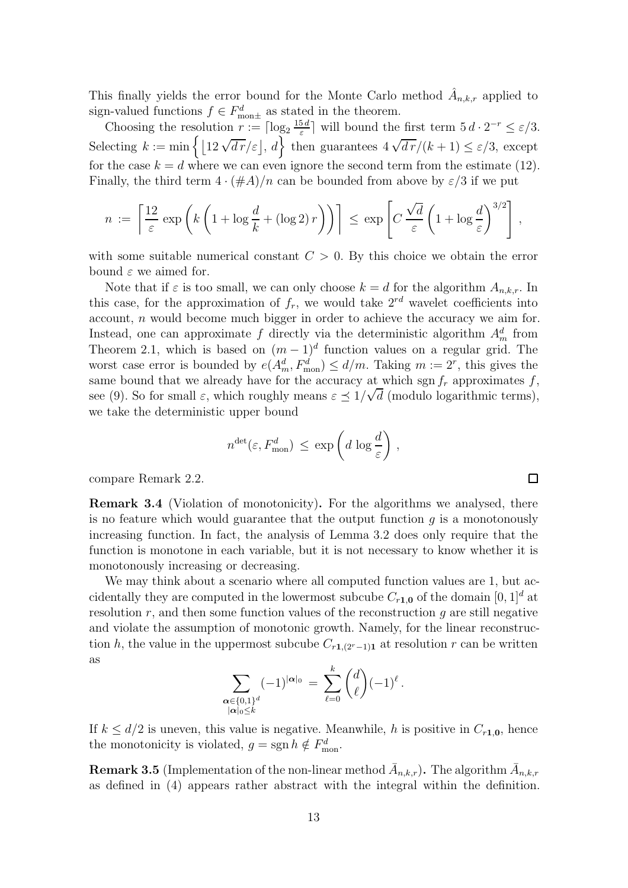This finally yields the error bound for the Monte Carlo method  $\hat{A}_{n,k,r}$  applied to sign-valued functions  $f \in F_{\text{mon}\pm}^d$  as stated in the theorem.

Choosing the resolution  $r := \lceil \log_2 \frac{15d}{\varepsilon} \rceil$  $\frac{5d}{\varepsilon}$  will bound the first term  $5d \cdot 2^{-r} \leq \varepsilon/3$ . Selecting  $k := \min \{ \lfloor 12\sqrt{dr}/\varepsilon \rfloor, d \}$  then guarantees  $4\sqrt{dr}/(k+1) \leq \varepsilon/3$ , except for the case  $k = d$  where we can even ignore the second term from the estimate [\(12\)](#page-11-2). Finally, the third term  $4 \cdot (\#A)/n$  can be bounded from above by  $\varepsilon/3$  if we put

$$
n := \left\lceil \frac{12}{\varepsilon} \exp\left(k\left(1 + \log\frac{d}{k} + (\log 2) r\right)\right)\right\rceil \le \exp\left[C\frac{\sqrt{d}}{\varepsilon}\left(1 + \log\frac{d}{\varepsilon}\right)^{3/2}\right],
$$

with some suitable numerical constant  $C > 0$ . By this choice we obtain the error bound  $\varepsilon$  we aimed for.

Note that if  $\varepsilon$  is too small, we can only choose  $k = d$  for the algorithm  $A_{n,k,r}$ . In this case, for the approximation of  $f_r$ , we would take  $2^{rd}$  wavelet coefficients into account, n would become much bigger in order to achieve the accuracy we aim for. Instead, one can approximate f directly via the deterministic algorithm  $A_m^d$  from [Theorem 2.1,](#page-3-2) which is based on  $(m-1)^d$  function values on a regular grid. The worst case error is bounded by  $e(A_m^d, F_{\text{mon}}^d) \le d/m$ . Taking  $m := 2^r$ , this gives the same bound that we already have for the accuracy at which sgn  $f_r$  approximates f, see [\(9\)](#page-10-3). So for small  $\varepsilon$ , which roughly means  $\varepsilon \leq 1/\sqrt{d}$  (modulo logarithmic terms), we take the deterministic upper bound

$$
n^{\text{det}}(\varepsilon, F_{\text{mon}}^d) \le \exp\left(d \log \frac{d}{\varepsilon}\right),
$$

 $\Box$ 

compare [Remark 2.2.](#page-5-1)

Remark 3.4 (Violation of monotonicity). For the algorithms we analysed, there is no feature which would guarantee that the output function  $q$  is a monotonously increasing function. In fact, the analysis of [Lemma 3.2](#page-8-0) does only require that the function is monotone in each variable, but it is not necessary to know whether it is monotonously increasing or decreasing.

We may think about a scenario where all computed function values are 1, but accidentally they are computed in the lowermost subcube  $C_{r1.0}$  of the domain  $[0, 1]^d$  at resolution  $r$ , and then some function values of the reconstruction  $g$  are still negative and violate the assumption of monotonic growth. Namely, for the linear reconstruction h, the value in the uppermost subcube  $C_{r1,(2r-1)1}$  at resolution r can be written as

$$
\sum_{\substack{\alpha \in \{0,1\}^d \\ |\alpha|_0 \leq k}} (-1)^{|\alpha|_0} = \sum_{\ell=0}^k {d \choose \ell} (-1)^{\ell}.
$$

If  $k \leq d/2$  is uneven, this value is negative. Meanwhile, h is positive in  $C_{r1,0}$ , hence the monotonicity is violated,  $g = \text{sgn}\, h \notin F_{\text{mon}}^d$ .

<span id="page-12-0"></span>**Remark 3.5** (Implementation of the non-linear method  $\bar{A}_{n,k,r}$ ). The algorithm  $\bar{A}_{n,k,r}$ as defined in [\(4\)](#page-7-2) appears rather abstract with the integral within the definition.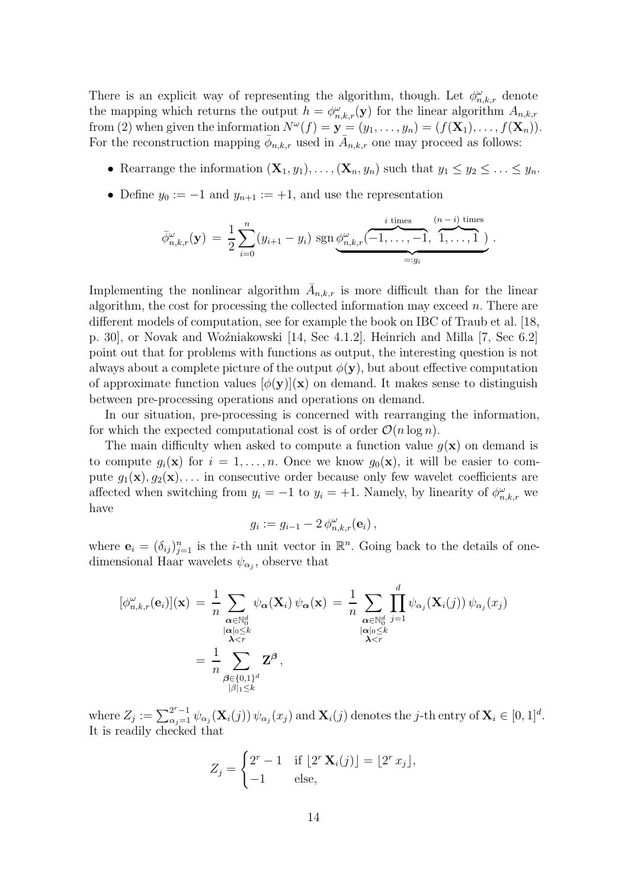<span id="page-13-0"></span>There is an explicit way of representing the algorithm, though. Let  $\phi_{n,k,r}^{\omega}$  denote the mapping which returns the output  $h = \phi_{n,k,r}^{\omega}(\mathbf{y})$  for the linear algorithm  $A_{n,k,r}$ from [\(2\)](#page-7-0) when given the information  $N^{\omega}(f) = \mathbf{y} = (y_1, \ldots, y_n) = (f(\mathbf{X}_1), \ldots, f(\mathbf{X}_n)).$ For the reconstruction mapping  $\bar{\phi}_{n,k,r}$  used in  $\bar{A}_{n,k,r}$  one may proceed as follows:

- Rearrange the information  $(\mathbf{X}_1, y_1), \ldots, (\mathbf{X}_n, y_n)$  such that  $y_1 \le y_2 \le \ldots \le y_n$ .
- Define  $y_0 := -1$  and  $y_{n+1} := +1$ , and use the representation

$$
\bar{\phi}_{n,k,r}^{\omega}(\mathbf{y}) = \frac{1}{2} \sum_{i=0}^{n} (y_{i+1} - y_i) \operatorname{sgn} \underbrace{\phi_{n,k,r}^{\omega}(-1, \ldots, -1)}_{=:g_i}, \overbrace{1, \ldots, 1}^{i \text{ times}}).
$$

Implementing the nonlinear algorithm  $\bar{A}_{n,k,r}$  is more difficult than for the linear algorithm, the cost for processing the collected information may exceed  $n$ . There are different models of computation, see for example the book on IBC of Traub et al. [\[18,](#page-26-0) p. 30, or Novak and Woźniakowski [\[14,](#page-26-5) Sec 4.1.2]. Heinrich and Milla [\[7,](#page-25-10) Sec 6.2] point out that for problems with functions as output, the interesting question is not always about a complete picture of the output  $\phi(\mathbf{y})$ , but about effective computation of approximate function values  $[\phi(\mathbf{y})](\mathbf{x})$  on demand. It makes sense to distinguish between pre-processing operations and operations on demand.

In our situation, pre-processing is concerned with rearranging the information, for which the expected computational cost is of order  $\mathcal{O}(n \log n)$ .

The main difficulty when asked to compute a function value  $q(\mathbf{x})$  on demand is to compute  $g_i(\mathbf{x})$  for  $i = 1, \ldots, n$ . Once we know  $g_0(\mathbf{x})$ , it will be easier to compute  $g_1(\mathbf{x}), g_2(\mathbf{x}), \ldots$  in consecutive order because only few wavelet coefficients are affected when switching from  $y_i = -1$  to  $y_i = +1$ . Namely, by linearity of  $\phi_{n,k,r}^{\omega}$  we have

$$
g_i := g_{i-1} - 2 \phi_{n,k,r}^{\omega}(\mathbf{e}_i),
$$

where  $\mathbf{e}_i = (\delta_{ij})_{j=1}^n$  is the *i*-th unit vector in  $\mathbb{R}^n$ . Going back to the details of onedimensional Haar wavelets  $\psi_{\alpha_j}$ , observe that

$$
\begin{aligned} [\phi_{n,k,r}^{\omega}(\mathbf{e}_i)](\mathbf{x}) &= \frac{1}{n} \sum_{\substack{\boldsymbol{\alpha} \in \mathbb{N}_0^d \\ |\boldsymbol{\alpha}|_0 \leq k}} \psi_{\boldsymbol{\alpha}}(\mathbf{X}_i) \, \psi_{\boldsymbol{\alpha}}(\mathbf{x}) = \frac{1}{n} \sum_{\substack{\boldsymbol{\alpha} \in \mathbb{N}_0^d \\ |\boldsymbol{\alpha}|_0 \leq k \\ \boldsymbol{\lambda} < r}} \prod_{\substack{\boldsymbol{\alpha} \in \mathbb{N}_0^d \\ |\boldsymbol{\alpha}|_0 \leq k \\ |\boldsymbol{\beta}|_1 \leq k}} \psi_{\boldsymbol{\alpha}_j}(\mathbf{X}_i(j)) \, \psi_{\boldsymbol{\alpha}_j}(x_j) \\ &= \frac{1}{n} \sum_{\substack{\boldsymbol{\beta} \in \{0,1\}^d \\ |\boldsymbol{\beta}|_1 \leq k}} \mathbf{Z}^{\boldsymbol{\beta}} \,, \end{aligned}
$$

where  $Z_j := \sum_{\alpha_j=1}^{2^r-1} \psi_{\alpha_j}(\mathbf{X}_i(j)) \psi_{\alpha_j}(x_j)$  and  $\mathbf{X}_i(j)$  denotes the j-th entry of  $\mathbf{X}_i \in [0,1]^d$ . It is readily checked that

$$
Z_j = \begin{cases} 2^r - 1 & \text{if } \lfloor 2^r \mathbf{X}_i(j) \rfloor = \lfloor 2^r x_j \rfloor, \\ -1 & \text{else,} \end{cases}
$$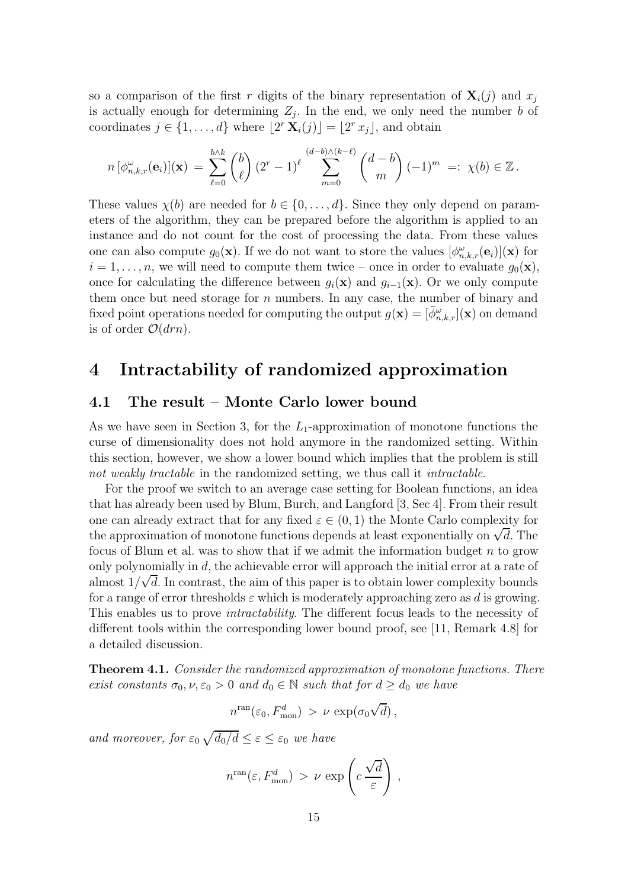<span id="page-14-2"></span>so a comparison of the first r digits of the binary representation of  $\mathbf{X}_i(j)$  and  $x_j$ is actually enough for determining  $Z_j$ . In the end, we only need the number b of coordinates  $j \in \{1, ..., d\}$  where  $\lfloor 2^r \mathbf{X}_i(j) \rfloor = \lfloor 2^r x_j \rfloor$ , and obtain

$$
n\left[\phi_{n,k,r}^{\omega}(\mathbf{e}_i)\right](\mathbf{x})\ =\ \sum_{\ell=0}^{b\wedge k}\binom{b}{\ell}\left(2^r-1\right)^{\ell}\ \sum_{m=0}^{(d-b)\wedge(k-\ell)}\binom{d-b}{m}\left(-1\right)^m\ =:\ \chi(b)\in\mathbb{Z}\,.
$$

These values  $\chi(b)$  are needed for  $b \in \{0, \ldots, d\}$ . Since they only depend on parameters of the algorithm, they can be prepared before the algorithm is applied to an instance and do not count for the cost of processing the data. From these values one can also compute  $g_0(\mathbf{x})$ . If we do not want to store the values  $[\phi_{n,k,r}^{\omega}(\mathbf{e}_i)](\mathbf{x})$  for  $i = 1, \ldots, n$ , we will need to compute them twice – once in order to evaluate  $g_0(\mathbf{x})$ , once for calculating the difference between  $q_i(\mathbf{x})$  and  $q_{i-1}(\mathbf{x})$ . Or we only compute them once but need storage for  $n$  numbers. In any case, the number of binary and fixed point operations needed for computing the output  $g(\mathbf{x}) = [\bar{\phi}^{\omega}_{n,k,r}](\mathbf{x})$  on demand is of order  $\mathcal{O}(drn)$ .

## <span id="page-14-0"></span>4 Intractability of randomized approximation

### 4.1 The result – Monte Carlo lower bound

As we have seen in [Section 3,](#page-6-0) for the  $L_1$ -approximation of monotone functions the curse of dimensionality does not hold anymore in the randomized setting. Within this section, however, we show a lower bound which implies that the problem is still not weakly tractable in the randomized setting, we thus call it *intractable*.

For the proof we switch to an average case setting for Boolean functions, an idea that has already been used by Blum, Burch, and Langford [\[3,](#page-25-7) Sec 4]. From their result one can already extract that for any fixed  $\varepsilon \in (0,1)$  the Monte Carlo complexity for the approximation of monotone functions depends at least exponentially on  $\sqrt{d}$ . The focus of Blum et al. was to show that if we admit the information budget  $n$  to grow only polynomially in  $d$ , the achievable error will approach the initial error at a rate of almost  $1/\sqrt{d}$ . In contrast, the aim of this paper is to obtain lower complexity bounds for a range of error thresholds  $\varepsilon$  which is moderately approaching zero as d is growing. This enables us to prove *intractability*. The different focus leads to the necessity of different tools within the corresponding lower bound proof, see [\[11,](#page-25-8) Remark 4.8] for a detailed discussion.

<span id="page-14-1"></span>Theorem 4.1. Consider the randomized approximation of monotone functions. There exist constants  $\sigma_0$ ,  $\nu$ ,  $\varepsilon_0 > 0$  and  $d_0 \in \mathbb{N}$  such that for  $d \geq d_0$  we have

$$
n^{\rm ran}(\varepsilon_0, F_{\rm mon}^d) > \nu \, \exp(\sigma_0 \sqrt{d}),
$$

and moreover, for  $\varepsilon_0 \sqrt{d_0/d} \leq \varepsilon \leq \varepsilon_0$  we have

$$
n^{\text{ran}}(\varepsilon, F_{\text{mon}}^d) > \nu \, \exp\left(c \, \frac{\sqrt{d}}{\varepsilon}\right) \,,
$$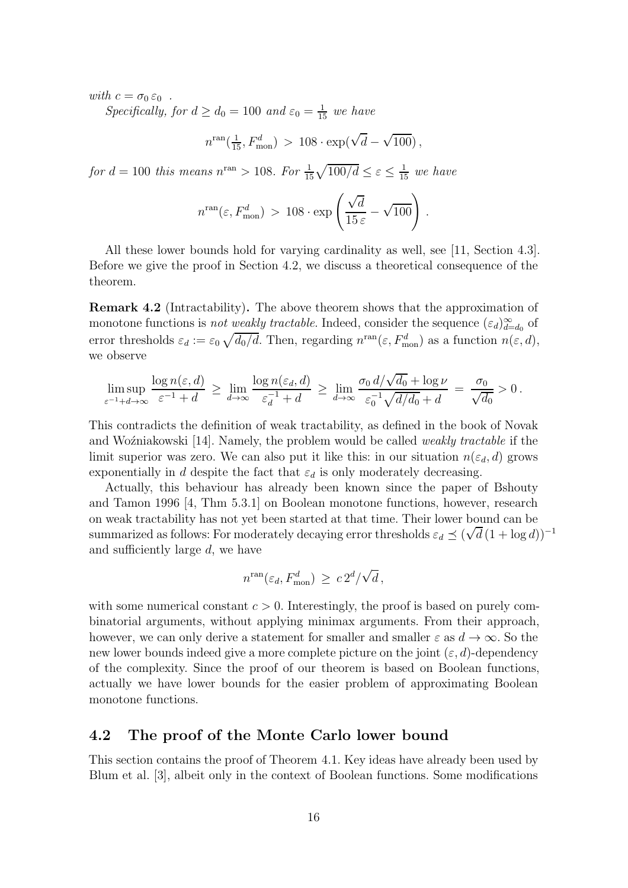<span id="page-15-2"></span>with  $c = \sigma_0 \varepsilon_0$ .

Specifically, for  $d \geq d_0 = 100$  and  $\varepsilon_0 = \frac{1}{15}$  we have

 $n^{\text{ran}}(\frac{1}{15}, F_{\text{mon}}^d) > 108 \cdot \exp(\sqrt{d} - \sqrt{100}),$ 

for  $d = 100$  this means  $n^{\text{ran}} > 108$ . For  $\frac{1}{15}\sqrt{100/d} \leq \varepsilon \leq \frac{1}{15}$  we have

$$
n^{\rm ran}(\varepsilon, F_{\rm mon}^d) > 108 \cdot \exp\left(\frac{\sqrt{d}}{15 \,\varepsilon} - \sqrt{100}\right) \,.
$$

All these lower bounds hold for varying cardinality as well, see [\[11,](#page-25-8) Section 4.3]. Before we give the proof in [Section 4.2,](#page-15-1) we discuss a theoretical consequence of the theorem.

<span id="page-15-0"></span>Remark 4.2 (Intractability). The above theorem shows that the approximation of monotone functions is *not weakly tractable*. Indeed, consider the sequence  $(\varepsilon_d)_{d=d_0}^{\infty}$  of error thresholds  $\varepsilon_d := \varepsilon_0 \sqrt{d_0/d}$ . Then, regarding  $n^{\text{ran}}(\varepsilon, F_{\text{mon}}^d)$  as a function  $n(\varepsilon, d)$ , we observe

$$
\limsup_{\varepsilon^{-1}+d\to\infty}\frac{\log n(\varepsilon,d)}{\varepsilon^{-1}+d}\,\ge\,\lim_{d\to\infty}\frac{\log n(\varepsilon_d,d)}{\varepsilon_d^{-1}+d}\,\ge\,\lim_{d\to\infty}\frac{\sigma_0\,d/\sqrt{d_0}+\log\nu}{\varepsilon_0^{-1}\sqrt{d/d_0}+d}\,=\,\frac{\sigma_0}{\sqrt{d_0}}>0\,.
$$

This contradicts the definition of weak tractability, as defined in the book of Novak and Wo $\zeta$ niakowski [\[14\]](#page-26-5). Namely, the problem would be called *weakly tractable* if the limit superior was zero. We can also put it like this: in our situation  $n(\varepsilon_d, d)$  grows exponentially in d despite the fact that  $\varepsilon_d$  is only moderately decreasing.

Actually, this behaviour has already been known since the paper of Bshouty and Tamon 1996 [\[4,](#page-25-6) Thm 5.3.1] on Boolean monotone functions, however, research on weak tractability has not yet been started at that time. Their lower bound can be summarized as follows: For moderately decaying error thresholds  $\varepsilon_d \preceq (\sqrt{d}(1 + \log d))^{-1}$ and sufficiently large d, we have

$$
n^{\rm ran}(\varepsilon_d, F_{\rm mon}^d) \ge c \, 2^d / \sqrt{d} \,,
$$

with some numerical constant  $c > 0$ . Interestingly, the proof is based on purely combinatorial arguments, without applying minimax arguments. From their approach, however, we can only derive a statement for smaller and smaller  $\varepsilon$  as  $d \to \infty$ . So the new lower bounds indeed give a more complete picture on the joint  $(\varepsilon, d)$ -dependency of the complexity. Since the proof of our theorem is based on Boolean functions, actually we have lower bounds for the easier problem of approximating Boolean monotone functions.

### <span id="page-15-1"></span>4.2 The proof of the Monte Carlo lower bound

This section contains the proof of [Theorem 4.1.](#page-14-1) Key ideas have already been used by Blum et al. [\[3\]](#page-25-7), albeit only in the context of Boolean functions. Some modifications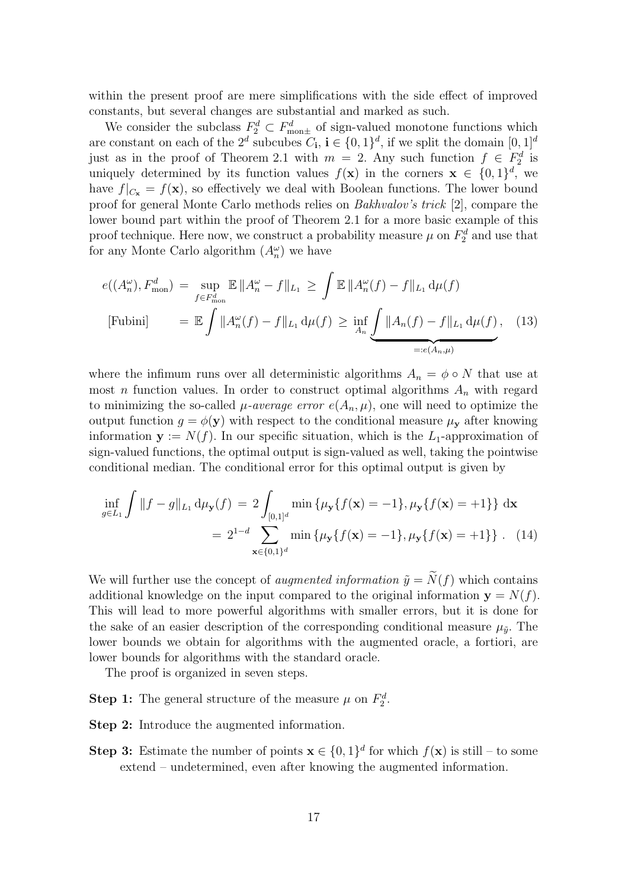<span id="page-16-2"></span>within the present proof are mere simplifications with the side effect of improved constants, but several changes are substantial and marked as such.

We consider the subclass  $F_2^d \,\subset F_{\text{mon}\pm}^d$  of sign-valued monotone functions which are constant on each of the  $2^d$  subcubes  $C_i$ ,  $i \in \{0,1\}^d$ , if we split the domain  $[0,1]^d$ just as in the proof of [Theorem 2.1](#page-3-2) with  $m = 2$ . Any such function  $f \in F_2^d$  is uniquely determined by its function values  $f(\mathbf{x})$  in the corners  $\mathbf{x} \in \{0,1\}^d$ , we have  $f|_{C_{\mathbf{x}}} = f(\mathbf{x})$ , so effectively we deal with Boolean functions. The lower bound proof for general Monte Carlo methods relies on Bakhvalov's trick [\[2\]](#page-25-9), compare the lower bound part within the proof of [Theorem 2.1](#page-3-2) for a more basic example of this proof technique. Here now, we construct a probability measure  $\mu$  on  $F_2^d$  and use that for any Monte Carlo algorithm  $(A_n^{\omega})$  we have

<span id="page-16-0"></span>
$$
e((A_n^{\omega}), F_{\text{mon}}^d) = \sup_{f \in F_{\text{mon}}^d} \mathbb{E} \|A_n^{\omega} - f\|_{L_1} \ge \int \mathbb{E} \|A_n^{\omega}(f) - f\|_{L_1} d\mu(f)
$$
  
[Fubini] =  $\mathbb{E} \int \|A_n^{\omega}(f) - f\|_{L_1} d\mu(f) \ge \inf_{A_n} \underbrace{\int \|A_n(f) - f\|_{L_1} d\mu(f)}_{=:e(A_n,\mu)},$  (13)

where the infimum runs over all deterministic algorithms  $A_n = \phi \circ N$  that use at most *n* function values. In order to construct optimal algorithms  $A_n$  with regard to minimizing the so-called  $\mu$ -average error  $e(A_n, \mu)$ , one will need to optimize the output function  $g = \phi(\mathbf{y})$  with respect to the conditional measure  $\mu_{\mathbf{y}}$  after knowing information  $y := N(f)$ . In our specific situation, which is the L<sub>1</sub>-approximation of sign-valued functions, the optimal output is sign-valued as well, taking the pointwise conditional median. The conditional error for this optimal output is given by

<span id="page-16-1"></span>
$$
\inf_{g \in L_1} \int \|f - g\|_{L_1} d\mu_{\mathbf{y}}(f) = 2 \int_{[0,1]^d} \min \{ \mu_{\mathbf{y}} \{ f(\mathbf{x}) = -1 \}, \mu_{\mathbf{y}} \{ f(\mathbf{x}) = +1 \} \} d\mathbf{x}
$$

$$
= 2^{1-d} \sum_{\mathbf{x} \in \{0,1\}^d} \min \{ \mu_{\mathbf{y}} \{ f(\mathbf{x}) = -1 \}, \mu_{\mathbf{y}} \{ f(\mathbf{x}) = +1 \} \} . \quad (14)
$$

We will further use the concept of *augmented information*  $\tilde{y} = \tilde{N}(f)$  which contains additional knowledge on the input compared to the original information  $y = N(f)$ . This will lead to more powerful algorithms with smaller errors, but it is done for the sake of an easier description of the corresponding conditional measure  $\mu_{\tilde{y}}$ . The lower bounds we obtain for algorithms with the augmented oracle, a fortiori, are lower bounds for algorithms with the standard oracle.

The proof is organized in seven steps.

**[Step 1:](#page-17-0)** The general structure of the measure  $\mu$  on  $F_2^d$ .

[Step 2:](#page-17-1) Introduce the augmented information.

**[Step 3:](#page-18-0)** Estimate the number of points  $\mathbf{x} \in \{0, 1\}^d$  for which  $f(\mathbf{x})$  is still – to some extend – undetermined, even after knowing the augmented information.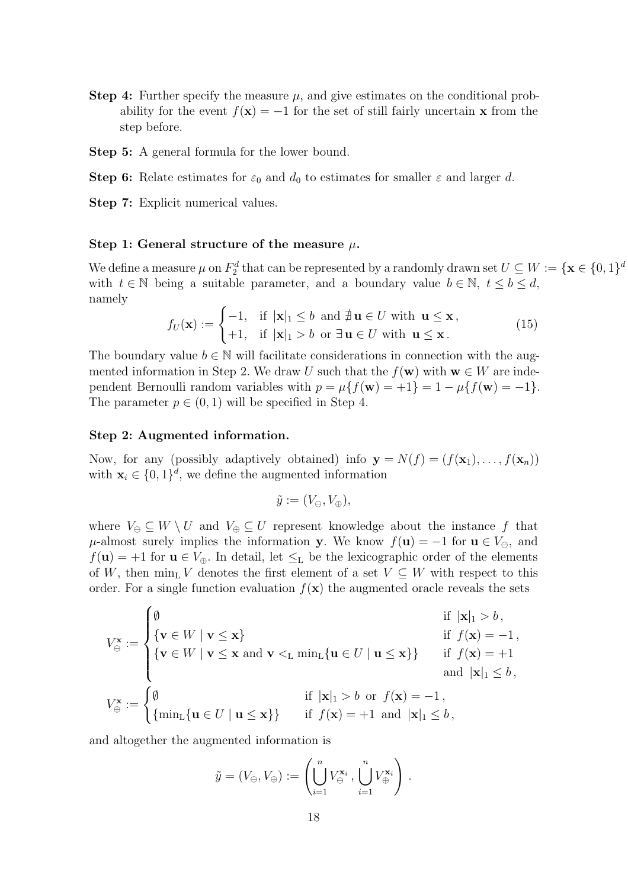- [Step 4:](#page-21-0) Further specify the measure  $\mu$ , and give estimates on the conditional probability for the event  $f(\mathbf{x}) = -1$  for the set of still fairly uncertain **x** from the step before.
- [Step 5:](#page-22-0) A general formula for the lower bound.
- [Step 6:](#page-22-1) Relate estimates for  $\varepsilon_0$  and  $d_0$  to estimates for smaller  $\varepsilon$  and larger d.
- <span id="page-17-0"></span>[Step 7:](#page-24-0) Explicit numerical values.

#### Step 1: General structure of the measure  $\mu$ .

We define a measure  $\mu$  on  $F_2^d$  that can be represented by a randomly drawn set  $U \subseteq W := \{ \mathbf{x} \in \{0,1\}^d \}$ with  $t \in \mathbb{N}$  being a suitable parameter, and a boundary value  $b \in \mathbb{N}$ ,  $t \leq b \leq d$ , namely

<span id="page-17-2"></span>
$$
f_U(\mathbf{x}) := \begin{cases} -1, & \text{if } |\mathbf{x}|_1 \le b \text{ and } \nexists \mathbf{u} \in U \text{ with } \mathbf{u} \le \mathbf{x}, \\ +1, & \text{if } |\mathbf{x}|_1 > b \text{ or } \exists \mathbf{u} \in U \text{ with } \mathbf{u} \le \mathbf{x}. \end{cases}
$$
(15)

The boundary value  $b \in \mathbb{N}$  will facilitate considerations in connection with the aug-mented information in [Step 2.](#page-17-1) We draw U such that the  $f(\mathbf{w})$  with  $\mathbf{w} \in W$  are independent Bernoulli random variables with  $p = \mu\{f(\mathbf{w}) = +1\} = 1 - \mu\{f(\mathbf{w}) = -1\}$ . The parameter  $p \in (0, 1)$  will be specified in [Step 4.](#page-21-0)

#### <span id="page-17-1"></span>Step 2: Augmented information.

Now, for any (possibly adaptively obtained) info  $\mathbf{y} = N(f) = (f(\mathbf{x}_1), \dots, f(\mathbf{x}_n))$ with  $\mathbf{x}_i \in \{0,1\}^d$ , we define the augmented information

$$
\tilde{y} := (V_{\ominus}, V_{\oplus}),
$$

where  $V_{\ominus} \subseteq W \setminus U$  and  $V_{\oplus} \subseteq U$  represent knowledge about the instance f that  $\mu$ -almost surely implies the information y. We know  $f(\mathbf{u}) = -1$  for  $\mathbf{u} \in V_{\ominus}$ , and  $f(\mathbf{u}) = +1$  for  $\mathbf{u} \in V_{\oplus}$ . In detail, let  $\leq_L$  be the lexicographic order of the elements of W, then min<sub>L</sub> V denotes the first element of a set  $V \subseteq W$  with respect to this order. For a single function evaluation  $f(\mathbf{x})$  the augmented oracle reveals the sets

$$
V_{\Theta}^{\mathbf{x}} := \begin{cases} \emptyset & \text{if } |\mathbf{x}|_{1} > b, \\ \{ \mathbf{v} \in W \mid \mathbf{v} \leq \mathbf{x} \} & \text{if } f(\mathbf{x}) = -1, \\ \{ \mathbf{v} \in W \mid \mathbf{v} \leq \mathbf{x} \text{ and } \mathbf{v} <_{\mathbf{L}} \min_{\mathbf{L}} \{ \mathbf{u} \in U \mid \mathbf{u} \leq \mathbf{x} \} \} & \text{if } f(\mathbf{x}) = +1 \\ & \text{and } |\mathbf{x}|_{1} \leq b, \\ V_{\Theta}^{\mathbf{x}} := \begin{cases} \emptyset & \text{if } |\mathbf{x}|_{1} > b \text{ or } f(\mathbf{x}) = -1, \\ \{ \min_{\mathbf{L}} \{ \mathbf{u} \in U \mid \mathbf{u} \leq \mathbf{x} \} \} & \text{if } f(\mathbf{x}) = +1 \text{ and } |\mathbf{x}|_{1} \leq b, \end{cases}
$$

and altogether the augmented information is

$$
\tilde{y} = (V_{\ominus}, V_{\oplus}) := \left(\bigcup_{i=1}^{n} V_{\ominus}^{\mathbf{x}_i}, \bigcup_{i=1}^{n} V_{\oplus}^{\mathbf{x}_i}\right).
$$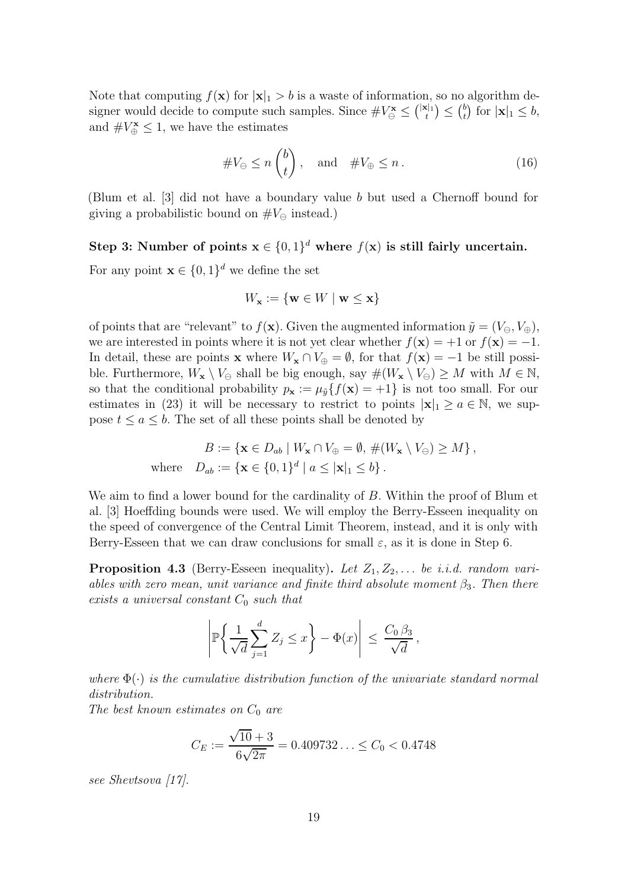<span id="page-18-3"></span>Note that computing  $f(\mathbf{x})$  for  $|\mathbf{x}|_1 > b$  is a waste of information, so no algorithm designer would decide to compute such samples. Since  $\#V^{\mathbf{x}}_{\Theta} \leq {|\mathbf{x}|_1 \choose t} \leq {b \choose t}$  $t$ ) for  $|\mathbf{x}|_1 \leq b$ , and  $\#V^{\mathbf{x}}_{\oplus} \leq 1$ , we have the estimates

<span id="page-18-2"></span>
$$
\#V_{\ominus} \le n \binom{b}{t}, \quad \text{and} \quad \#V_{\oplus} \le n. \tag{16}
$$

<span id="page-18-0"></span>(Blum et al. [\[3\]](#page-25-7) did not have a boundary value b but used a Chernoff bound for giving a probabilistic bound on  $\#V_{\ominus}$  instead.)

# Step 3: Number of points  $\mathbf{x} \in \{0,1\}^d$  where  $f(\mathbf{x})$  is still fairly uncertain.

For any point  $\mathbf{x} \in \{0,1\}^d$  we define the set

$$
W_{\mathbf{x}}:=\{\mathbf{w}\in W\mid \mathbf{w}\leq \mathbf{x}\}
$$

of points that are "relevant" to  $f(\mathbf{x})$ . Given the augmented information  $\tilde{y} = (V_{\ominus}, V_{\oplus}),$ we are interested in points where it is not yet clear whether  $f(\mathbf{x}) = +1$  or  $f(\mathbf{x}) = -1$ . In detail, these are points **x** where  $W_x \cap V_{\oplus} = \emptyset$ , for that  $f(\mathbf{x}) = -1$  be still possible. Furthermore,  $W_x \setminus V_\ominus$  shall be big enough, say  $\#(W_x \setminus V_\ominus) \geq M$  with  $M \in \mathbb{N}$ , so that the conditional probability  $p_x := \mu_{\tilde{y}}\{f(x) = +1\}$  is not too small. For our estimates in [\(23\)](#page-20-0) it will be necessary to restrict to points  $|x|_1 \ge a \in \mathbb{N}$ , we suppose  $t \le a \le b$ . The set of all these points shall be denoted by

$$
B := \{ \mathbf{x} \in D_{ab} \mid W_{\mathbf{x}} \cap V_{\oplus} = \emptyset, \#(W_{\mathbf{x}} \setminus V_{\ominus}) \ge M \},\
$$
  
where 
$$
D_{ab} := \{ \mathbf{x} \in \{0,1\}^d \mid a \le |\mathbf{x}|_1 \le b \}.
$$

We aim to find a lower bound for the cardinality of B. Within the proof of Blum et al. [\[3\]](#page-25-7) Hoeffding bounds were used. We will employ the Berry-Esseen inequality on the speed of convergence of the Central Limit Theorem, instead, and it is only with Berry-Esseen that we can draw conclusions for small  $\varepsilon$ , as it is done in [Step 6.](#page-22-1)

<span id="page-18-1"></span>**Proposition 4.3** (Berry-Esseen inequality). Let  $Z_1, Z_2, \ldots$  be i.i.d. random variables with zero mean, unit variance and finite third absolute moment  $\beta_3$ . Then there exists a universal constant  $C_0$  such that

$$
\left| \mathbb{P}\left\{\frac{1}{\sqrt{d}}\sum_{j=1}^d Z_j \leq x\right\} - \Phi(x) \right| \leq \frac{C_0 \beta_3}{\sqrt{d}},
$$

where  $\Phi(\cdot)$  is the cumulative distribution function of the univariate standard normal distribution.

The best known estimates on  $C_0$  are

$$
C_E := \frac{\sqrt{10} + 3}{6\sqrt{2\pi}} = 0.409732\ldots \le C_0 < 0.4748
$$

see Shevtsova [\[17\]](#page-26-6).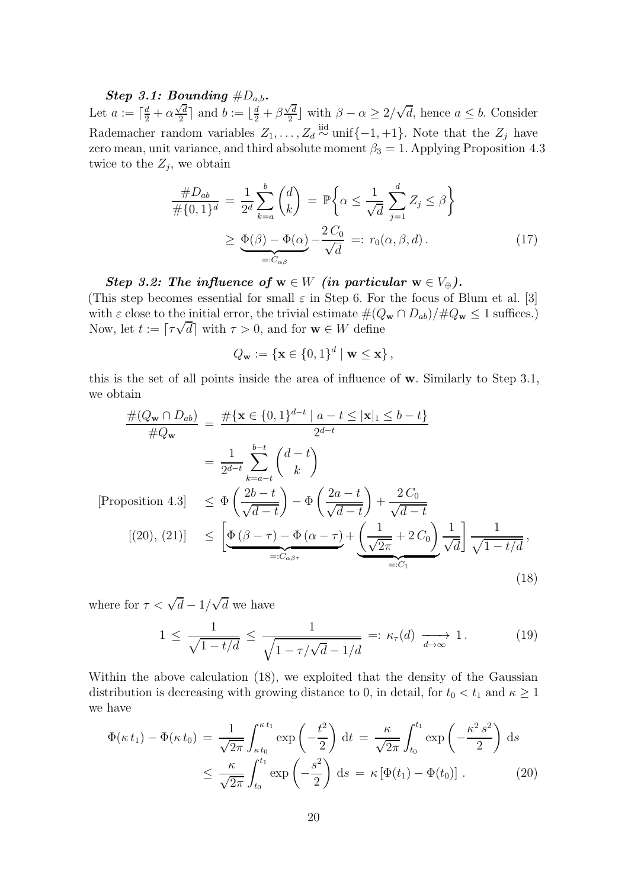#### <span id="page-19-5"></span><span id="page-19-0"></span>Step 3.1: Bounding  $\#D_{a,b}$ .

Let  $a := \lceil \frac{d}{2} + \alpha \frac{\sqrt{d}}{2} \rceil$  $\sqrt{\frac{d}{2}}$  and  $b := \lfloor \frac{d}{2} + \beta \frac{\sqrt{d}}{2} \rfloor$  $\sqrt{\frac{d}{2}}$  with  $\beta - \alpha \geq 2/\sqrt{d}$ , hence  $a \leq b$ . Consider Rademacher random variables  $Z_1, \ldots, Z_d \stackrel{\text{iid}}{\sim} \text{unif}\{-1, +1\}$ . Note that the  $Z_j$  have zero mean, unit variance, and third absolute moment  $\beta_3 = 1$ . Applying [Proposition 4.3](#page-18-1) twice to the  $Z_j$ , we obtain

$$
\frac{\#D_{ab}}{\# \{0,1\}^d} = \frac{1}{2^d} \sum_{k=a}^b \binom{d}{k} = \mathbb{P} \left\{ \alpha \le \frac{1}{\sqrt{d}} \sum_{j=1}^d Z_j \le \beta \right\}
$$
\n
$$
\ge \underbrace{\Phi(\beta) - \Phi(\alpha)}_{=:C_{\alpha\beta}} - \frac{2C_0}{\sqrt{d}} =: r_0(\alpha, \beta, d). \tag{17}
$$

Step 3.2: The influence of  $w \in W$  (in particular  $w \in V_{\oplus}$ ).

(This step becomes essential for small  $\varepsilon$  in [Step 6.](#page-22-1) For the focus of Blum et al. [\[3\]](#page-25-7) with  $\varepsilon$  close to the initial error, the trivial estimate  $\#(Q_{\mathbf{w}} \cap D_{ab})/\#Q_{\mathbf{w}} \leq 1$  suffices.) Now, let  $t := \lceil \tau \sqrt{d} \rceil$  with  $\tau > 0$ , and for  $\mathbf{w} \in W$  define

<span id="page-19-3"></span><span id="page-19-2"></span>
$$
Q_{\mathbf{w}} := \{ \mathbf{x} \in \{0,1\}^d \mid \mathbf{w} \leq \mathbf{x} \},
$$

this is the set of all points inside the area of influence of w. Similarly to [Step 3.1,](#page-19-0) we obtain

$$
\frac{\#(Q_{\mathbf{w}} \cap D_{ab})}{\#Q_{\mathbf{w}}} = \frac{\# \{ \mathbf{x} \in \{0,1\}^{d-t} \mid a-t \leq |\mathbf{x}|_{1} \leq b-t \}}{2^{d-t}}
$$
\n
$$
= \frac{1}{2^{d-t}} \sum_{k=a-t}^{b-t} {d-t \choose k}
$$
\n[Proposition 4.3] 
$$
\leq \Phi\left(\frac{2b-t}{\sqrt{d-t}}\right) - \Phi\left(\frac{2a-t}{\sqrt{d-t}}\right) + \frac{2C_{0}}{\sqrt{d-t}}
$$
\n
$$
[(20), (21)] \leq \left[ \underbrace{\Phi(\beta-\tau) - \Phi(\alpha-\tau)}_{=:C_{\alpha\beta\tau}} + \underbrace{\left(\frac{1}{\sqrt{2\pi}} + 2C_{0}\right)}_{=:C_{1}} \frac{1}{\sqrt{d}} \right] \frac{1}{\sqrt{1-t/d}},
$$
\n(18)

where for  $\tau < \sqrt{d} - 1/\sqrt{d}$  we have

<span id="page-19-4"></span><span id="page-19-1"></span>
$$
1 \le \frac{1}{\sqrt{1 - t/d}} \le \frac{1}{\sqrt{1 - \tau/\sqrt{d} - 1/d}} =: \kappa_{\tau}(d) \xrightarrow[d \to \infty]{} 1. \tag{19}
$$

Within the above calculation [\(18\)](#page-19-2), we exploited that the density of the Gaussian distribution is decreasing with growing distance to 0, in detail, for  $t_0 < t_1$  and  $\kappa \ge 1$ we have

$$
\Phi(\kappa t_1) - \Phi(\kappa t_0) = \frac{1}{\sqrt{2\pi}} \int_{\kappa t_0}^{\kappa t_1} \exp\left(-\frac{t^2}{2}\right) dt = \frac{\kappa}{\sqrt{2\pi}} \int_{t_0}^{t_1} \exp\left(-\frac{\kappa^2 s^2}{2}\right) ds
$$
  

$$
\leq \frac{\kappa}{\sqrt{2\pi}} \int_{t_0}^{t_1} \exp\left(-\frac{s^2}{2}\right) ds = \kappa \left[\Phi(t_1) - \Phi(t_0)\right].
$$
 (20)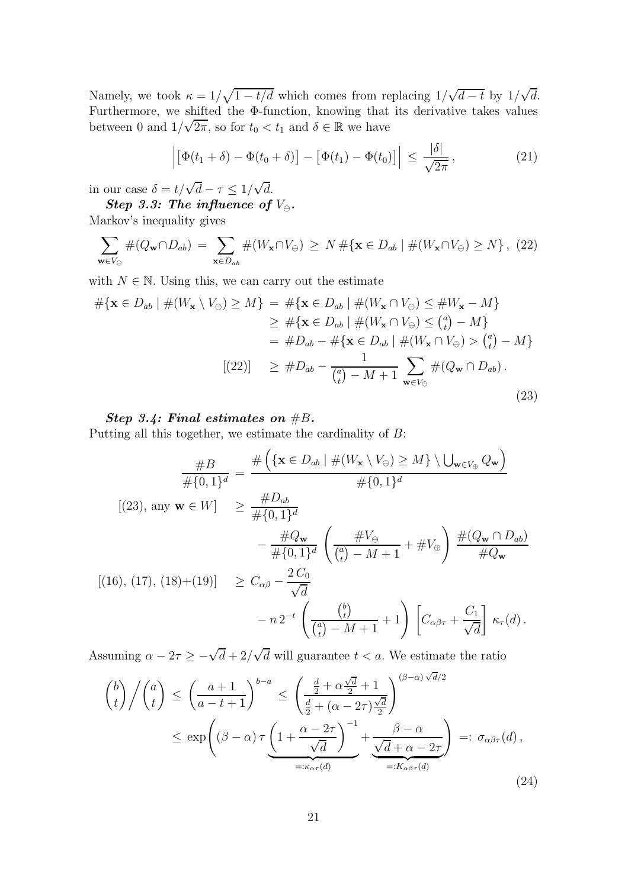Namely, we took  $\kappa = 1/\sqrt{1 - t/d}$  which comes from replacing  $1/\sqrt{d-t}$  by  $1/\sqrt{d}$ . Furthermore, we shifted the Φ-function, knowing that its derivative takes values between 0 and  $1/\sqrt{2\pi}$ , so for  $t_0 < t_1$  and  $\delta \in \mathbb{R}$  we have

<span id="page-20-1"></span>
$$
\left| \left[ \Phi(t_1 + \delta) - \Phi(t_0 + \delta) \right] - \left[ \Phi(t_1) - \Phi(t_0) \right] \right| \le \frac{|\delta|}{\sqrt{2\pi}}, \tag{21}
$$

in our case  $\delta = t/\sqrt{d} - \tau \leq 1/\sqrt{d}$ .

 $\boldsymbol{Step\ 3.3:}$  The influence of  $V_{\ominus}.$ 

Markov's inequality gives

<span id="page-20-2"></span>
$$
\sum_{\mathbf{w}\in V_{\ominus}}\#(Q_{\mathbf{w}}\cap D_{ab}) = \sum_{\mathbf{x}\in D_{ab}}\#(W_{\mathbf{x}}\cap V_{\ominus}) \ge N\#\{\mathbf{x}\in D_{ab} \mid \#(W_{\mathbf{x}}\cap V_{\ominus}) \ge N\}, (22)
$$

with  $N \in \mathbb{N}$ . Using this, we can carry out the estimate

<span id="page-20-0"></span>
$$
\# \{ \mathbf{x} \in D_{ab} \mid \#(W_{\mathbf{x}} \setminus V_{\ominus}) \ge M \} = \# \{ \mathbf{x} \in D_{ab} \mid \#(W_{\mathbf{x}} \cap V_{\ominus}) \le \#W_{\mathbf{x}} - M \}
$$
  
\n
$$
\ge \# \{ \mathbf{x} \in D_{ab} \mid \#(W_{\mathbf{x}} \cap V_{\ominus}) \le {a \choose t} - M \}
$$
  
\n
$$
= \# D_{ab} - \# \{ \mathbf{x} \in D_{ab} \mid \#(W_{\mathbf{x}} \cap V_{\ominus}) > {a \choose t} - M \}
$$
  
\n
$$
[(22)] \ge \# D_{ab} - \frac{1}{\binom{a}{t} - M + 1} \sum_{\mathbf{w} \in V_{\ominus}} \#(Q_{\mathbf{w}} \cap D_{ab}).
$$
  
\n(23)

#### <span id="page-20-3"></span>Step 3.4: Final estimates on  $#B$ .

Putting all this together, we estimate the cardinality of B:

$$
\frac{\#B}{\# \{0,1\}^d} = \frac{\# \left( \{ \mathbf{x} \in D_{ab} \mid \# (W_{\mathbf{x}} \setminus V_{\ominus}) \ge M \} \setminus \bigcup_{\mathbf{w} \in V_{\oplus}} Q_{\mathbf{w}} \right)}{\# \{0,1\}^d}
$$
\n
$$
[(23), \text{ any } \mathbf{w} \in W] \ge \frac{\#D_{ab}}{\# \{0,1\}^d}
$$
\n
$$
-\frac{\#Q_{\mathbf{w}}}{\# \{0,1\}^d} \left( \frac{\#V_{\ominus}}{\binom{a}{t} - M + 1} + \#V_{\oplus} \right) \frac{\# (Q_{\mathbf{w}} \cap D_{ab})}{\# Q_{\mathbf{w}}}
$$
\n
$$
[(16), (17), (18) + (19)] \ge C_{\alpha\beta} - \frac{2C_0}{\sqrt{d}}
$$
\n
$$
- n 2^{-t} \left( \frac{\binom{b}{t}}{\binom{a}{t} - M + 1} + 1 \right) \left[ C_{\alpha\beta\tau} + \frac{C_1}{\sqrt{d}} \right] \kappa_{\tau}(d).
$$

Assuming  $\alpha - 2\tau \ge -\sqrt{d} + 2/\sqrt{d}$  will guarantee  $t < a$ . We estimate the ratio

<span id="page-20-4"></span>
$$
\binom{b}{t} / \binom{a}{t} \le \left(\frac{a+1}{a-t+1}\right)^{b-a} \le \left(\frac{\frac{d}{2} + \alpha \frac{\sqrt{d}}{2} + 1}{\frac{d}{2} + (\alpha - 2\tau) \frac{\sqrt{d}}{2}}\right)^{(\beta - \alpha)\sqrt{d}/2}
$$

$$
\le \exp\left((\beta - \alpha)\tau \underbrace{\left(1 + \frac{\alpha - 2\tau}{\sqrt{d}}\right)^{-1}}_{=: \kappa_{\alpha\tau}(d)} + \underbrace{\frac{\beta - \alpha}{\sqrt{d} + \alpha - 2\tau}}_{=: K_{\alpha\beta\tau}(d)}\right) =: \sigma_{\alpha\beta\tau}(d),\tag{24}
$$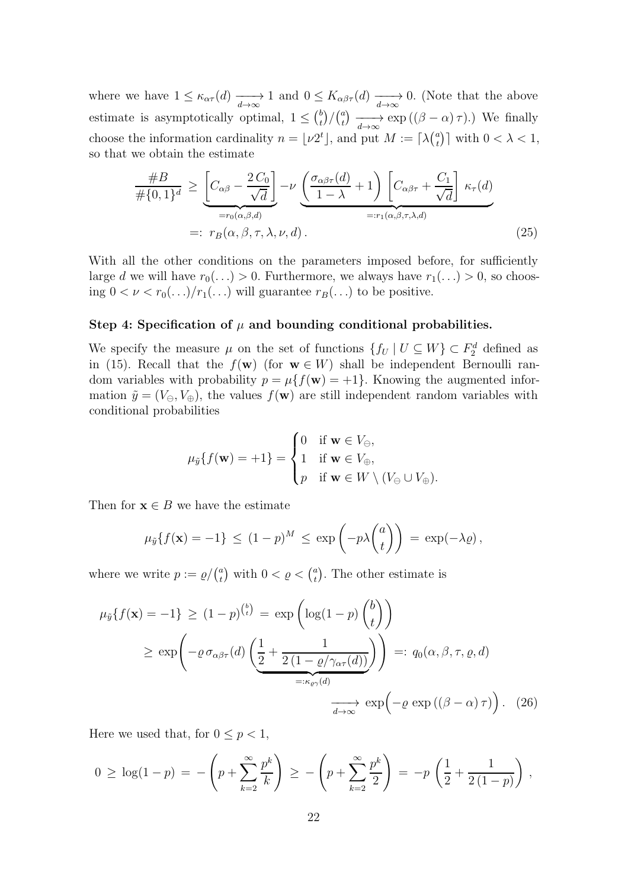where we have  $1 \leq \kappa_{\alpha\tau}(d) \longrightarrow 1$  and  $0 \leq K_{\alpha\beta\tau}(d) \longrightarrow$ 0. (Note that the above estimate is asymptotically optimal,  $1 \leq {b \choose t}$  $\binom{b}{t}/\binom{a}{t}$  $\sum_{t=0}^{a} \sum_{t=0}^{\infty} \exp((\beta - \alpha) \tau).$  We finally choose the information cardinality  $n = \lfloor \nu 2^t \rfloor$ , and put  $M := \lceil \lambda \binom{a}{t} \rfloor$  $\binom{a}{t}$  with  $0 < \lambda < 1$ , so that we obtain the estimate

<span id="page-21-1"></span>
$$
\frac{\#B}{\#\{0,1\}^d} \ge \underbrace{\left[C_{\alpha\beta} - \frac{2C_0}{\sqrt{d}}\right]}_{=r_0(\alpha,\beta,d)} - \nu \underbrace{\left(\frac{\sigma_{\alpha\beta\tau}(d)}{1-\lambda} + 1\right) \left[C_{\alpha\beta\tau} + \frac{C_1}{\sqrt{d}}\right]}_{=:r_1(\alpha,\beta,\tau,\lambda,d)} \kappa_{\tau}(d)
$$
\n
$$
=: r_B(\alpha,\beta,\tau,\lambda,\nu,d). \tag{25}
$$

<span id="page-21-0"></span>With all the other conditions on the parameters imposed before, for sufficiently large d we will have  $r_0(...) > 0$ . Furthermore, we always have  $r_1(...) > 0$ , so choosing  $0 < \nu < r_0(\ldots)/r_1(\ldots)$  will guarantee  $r_B(\ldots)$  to be positive.

#### Step 4: Specification of  $\mu$  and bounding conditional probabilities.

We specify the measure  $\mu$  on the set of functions  $\{f_U | U \subseteq W\} \subset F_2^d$  defined as in [\(15\)](#page-17-2). Recall that the  $f(\mathbf{w})$  (for  $\mathbf{w} \in W$ ) shall be independent Bernoulli random variables with probability  $p = \mu\{f(\mathbf{w}) = +1\}$ . Knowing the augmented information  $\tilde{y} = (V_{\ominus}, V_{\oplus})$ , the values  $f(\mathbf{w})$  are still independent random variables with conditional probabilities

$$
\mu_{\tilde{y}}\{f(\mathbf{w}) = +1\} = \begin{cases} 0 & \text{if } \mathbf{w} \in V_{\ominus}, \\ 1 & \text{if } \mathbf{w} \in V_{\oplus}, \\ p & \text{if } \mathbf{w} \in W \setminus (V_{\ominus} \cup V_{\oplus}). \end{cases}
$$

Then for  $\mathbf{x} \in B$  we have the estimate

<span id="page-21-2"></span>
$$
\mu_{\tilde{y}}\{f(\mathbf{x}) = -1\} \le (1-p)^M \le \exp\left(-p\lambda \binom{a}{t}\right) = \exp(-\lambda \varrho),
$$

where we write  $p := \varrho / \binom{a}{t}$  $\binom{a}{t}$  with  $0 < \varrho < \binom{a}{t}$  $\binom{a}{t}$ . The other estimate is

$$
\mu_{\tilde{y}}\{f(\mathbf{x}) = -1\} \ge (1-p)^{{b \choose t}} = \exp\left(\log(1-p)\binom{b}{t}\right)
$$

$$
\ge \exp\left(-\varrho \sigma_{\alpha\beta\tau}(d)\left(\frac{1}{2} + \frac{1}{2(1-\varrho/\gamma_{\alpha\tau}(d))}\right)\right) =: q_0(\alpha, \beta, \tau, \varrho, d)
$$

$$
\xrightarrow[d \to \infty]{} \exp\left(-\varrho \exp((\beta - \alpha)\tau)\right). \quad (26)
$$

Here we used that, for  $0 \leq p < 1$ ,

$$
0 \geq \log(1-p) = -\left(p + \sum_{k=2}^{\infty} \frac{p^k}{k}\right) \geq -\left(p + \sum_{k=2}^{\infty} \frac{p^k}{2}\right) = -p\left(\frac{1}{2} + \frac{1}{2(1-p)}\right),
$$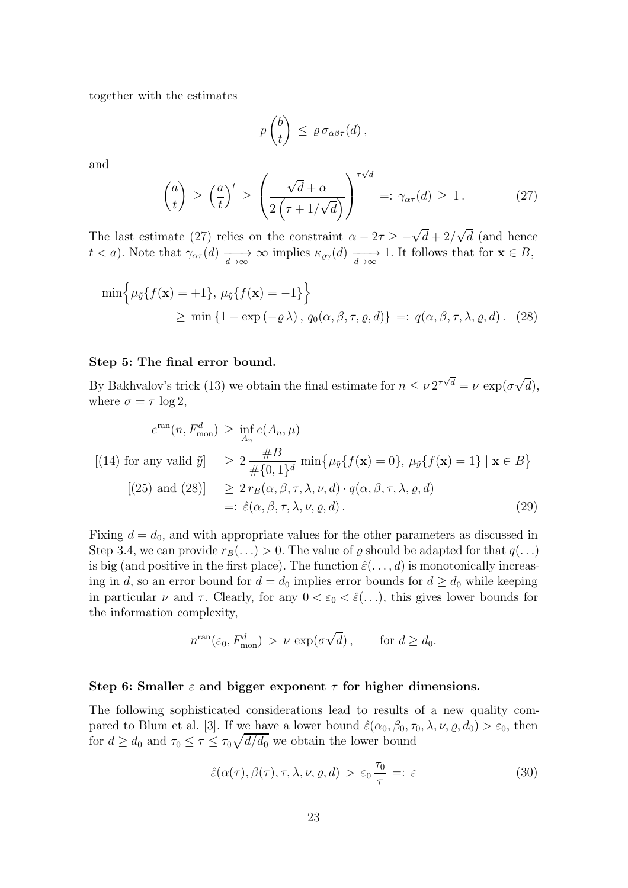<span id="page-22-6"></span>together with the estimates

<span id="page-22-3"></span>
$$
p\begin{pmatrix}b\\t\end{pmatrix}\ \leq\ \varrho\,\sigma_{\alpha\beta\tau}(d)\,,
$$

and

<span id="page-22-2"></span>
$$
\binom{a}{t} \ge \left(\frac{a}{t}\right)^t \ge \left(\frac{\sqrt{d} + \alpha}{2\left(\tau + 1/\sqrt{d}\right)}\right)^{\tau\sqrt{d}} =: \gamma_{\alpha\tau}(d) \ge 1. \tag{27}
$$

The last estimate [\(27\)](#page-22-2) relies on the constraint  $\alpha - 2\tau \geq -\sqrt{d} + 2/\sqrt{d}$  (and hence t < a). Note that  $\gamma_{\alpha\tau}(d) \longrightarrow \infty$  implies  $\kappa_{\varrho\gamma}(d) \longrightarrow 1$ . It follows that for  $\mathbf{x} \in B$ ,

$$
\min\left\{\mu_{\tilde{y}}\{f(\mathbf{x}) = +1\}, \mu_{\tilde{y}}\{f(\mathbf{x}) = -1\}\right\}
$$
  
\n
$$
\geq \min\left\{1 - \exp(-\varrho \lambda), q_0(\alpha, \beta, \tau, \varrho, d)\right\} =: q(\alpha, \beta, \tau, \lambda, \varrho, d). \quad (28)
$$

#### <span id="page-22-0"></span>Step 5: The final error bound.

By Bakhvalov's trick [\(13\)](#page-16-0) we obtain the final estimate for  $n \leq \nu 2^{\tau \sqrt{d}} = \nu \exp(\sigma \sqrt{d}),$ where  $\sigma = \tau \log 2$ ,

$$
e^{\operatorname{ran}}(n, F_{\text{mon}}^d) \ge \inf_{A_n} e(A_n, \mu)
$$
  
\n[(14) for any valid  $\tilde{y}$ ]  $\ge 2 \frac{\#B}{\# \{0, 1\}^d} \min \{ \mu_{\tilde{y}} \{ f(\mathbf{x}) = 0 \}, \mu_{\tilde{y}} \{ f(\mathbf{x}) = 1 \} \mid \mathbf{x} \in B \}$   
\n[(25) and (28)]  $\ge 2 r_B(\alpha, \beta, \tau, \lambda, \nu, d) \cdot q(\alpha, \beta, \tau, \lambda, \varrho, d)$   
\n $=: \hat{\varepsilon}(\alpha, \beta, \tau, \lambda, \nu, \varrho, d).$  (29)

Fixing  $d = d_0$ , and with appropriate values for the other parameters as discussed in [Step 3.4,](#page-20-3) we can provide  $r_B(\ldots) > 0$ . The value of  $\varrho$  should be adapted for that  $q(\ldots)$ is big (and positive in the first place). The function  $\hat{\varepsilon}(\ldots, d)$  is monotonically increasing in d, so an error bound for  $d = d_0$  implies error bounds for  $d \geq d_0$  while keeping in particular  $\nu$  and  $\tau$ . Clearly, for any  $0 < \varepsilon_0 < \hat{\varepsilon}(\ldots)$ , this gives lower bounds for the information complexity,

<span id="page-22-5"></span>
$$
n^{\text{ran}}(\varepsilon_0, F_{\text{mon}}^d) > \nu \, \exp(\sigma \sqrt{d}), \qquad \text{for } d \ge d_0.
$$

#### <span id="page-22-1"></span>Step 6: Smaller  $\varepsilon$  and bigger exponent  $\tau$  for higher dimensions.

The following sophisticated considerations lead to results of a new quality com-pared to Blum et al. [\[3\]](#page-25-7). If we have a lower bound  $\hat{\varepsilon}(\alpha_0, \beta_0, \tau_0, \lambda, \nu, \varrho, d_0) > \varepsilon_0$ , then for  $d \geq d_0$  and  $\tau_0 \leq \tau \leq \tau_0 \sqrt{d/d_0}$  we obtain the lower bound

<span id="page-22-4"></span>
$$
\hat{\varepsilon}(\alpha(\tau), \beta(\tau), \tau, \lambda, \nu, \varrho, d) > \varepsilon_0 \frac{\tau_0}{\tau} =: \varepsilon
$$
\n(30)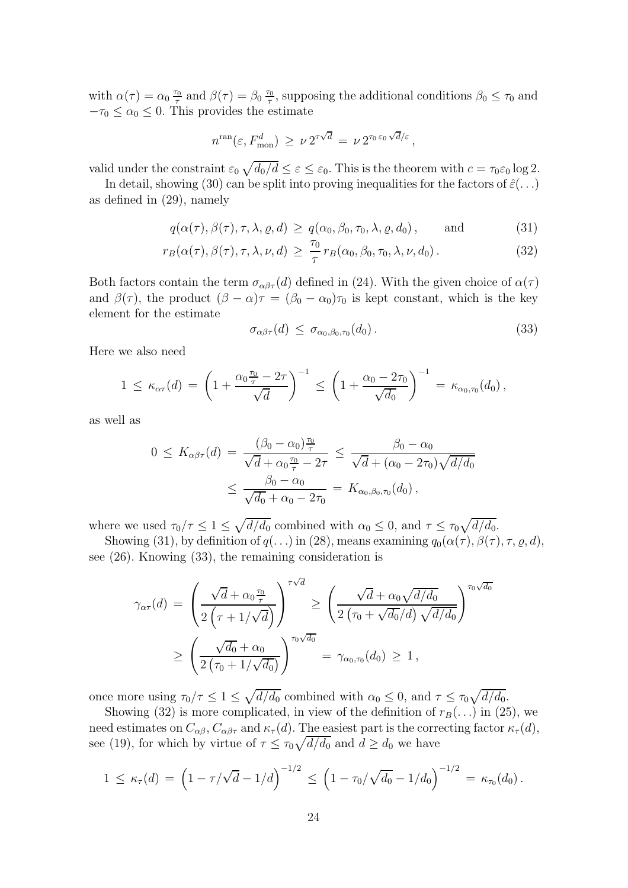with  $\alpha(\tau) = \alpha_0 \frac{\tau_0}{\tau}$  $\frac{\tau_0}{\tau}$  and  $\beta(\tau) = \beta_0 \frac{\tau_0}{\tau}$  $\tau_0$ , supposing the additional conditions  $\beta_0 \leq \tau_0$  and  $-\tau_0 \leq \alpha_0 \leq 0$ . This provides the estimate

$$
n^{\rm ran}(\varepsilon, F_{\rm mon}^d) \geq \nu \, 2^{\tau \sqrt{d}} = \nu \, 2^{\tau_0 \, \varepsilon_0 \sqrt{d}/\varepsilon},
$$

valid under the constraint  $\varepsilon_0 \sqrt{d_0/d} \leq \varepsilon \leq \varepsilon_0$ . This is the theorem with  $c = \tau_0 \varepsilon_0 \log 2$ .

In detail, showing [\(30\)](#page-22-4) can be split into proving inequalities for the factors of  $\hat{\varepsilon}(\ldots)$ as defined in [\(29\)](#page-22-5), namely

$$
q(\alpha(\tau), \beta(\tau), \tau, \lambda, \varrho, d) \ge q(\alpha_0, \beta_0, \tau_0, \lambda, \varrho, d_0), \quad \text{and} \quad (31)
$$

$$
r_B(\alpha(\tau), \beta(\tau), \tau, \lambda, \nu, d) \ge \frac{\tau_0}{\tau} r_B(\alpha_0, \beta_0, \tau_0, \lambda, \nu, d_0).
$$
 (32)

Both factors contain the term  $\sigma_{\alpha\beta\tau}(d)$  defined in [\(24\)](#page-20-4). With the given choice of  $\alpha(\tau)$ and  $\beta(\tau)$ , the product  $(\beta - \alpha)\tau = (\beta_0 - \alpha_0)\tau_0$  is kept constant, which is the key element for the estimate

<span id="page-23-2"></span><span id="page-23-1"></span><span id="page-23-0"></span>
$$
\sigma_{\alpha\beta\tau}(d) \leq \sigma_{\alpha_0,\beta_0,\tau_0}(d_0). \tag{33}
$$

Here we also need

$$
1 \leq \kappa_{\alpha\tau}(d) = \left(1 + \frac{\alpha_0 \frac{\tau_0}{\tau} - 2\tau}{\sqrt{d}}\right)^{-1} \leq \left(1 + \frac{\alpha_0 - 2\tau_0}{\sqrt{d_0}}\right)^{-1} = \kappa_{\alpha_0, \tau_0}(d_0),
$$

as well as

$$
0 \le K_{\alpha\beta\tau}(d) = \frac{(\beta_0 - \alpha_0)^{\frac{\tau_0}{\tau}}}{\sqrt{d} + \alpha_0 \frac{\tau_0}{\tau} - 2\tau} \le \frac{\beta_0 - \alpha_0}{\sqrt{d} + (\alpha_0 - 2\tau_0)\sqrt{d/d_0}} \le \frac{\beta_0 - \alpha_0}{\sqrt{d_0} + \alpha_0 - 2\tau_0} = K_{\alpha_0, \beta_0, \tau_0}(d_0),
$$

where we used  $\tau_0/\tau \leq 1 \leq \sqrt{d/d_0}$  combined with  $\alpha_0 \leq 0$ , and  $\tau \leq \tau_0 \sqrt{d/d_0}$ .

Showing [\(31\)](#page-23-0), by definition of  $q(\ldots)$  in [\(28\)](#page-22-3), means examining  $q_0(\alpha(\tau), \beta(\tau), \tau, \varrho, d)$ , see [\(26\)](#page-21-2). Knowing [\(33\)](#page-23-1), the remaining consideration is

$$
\gamma_{\alpha\tau}(d) = \left(\frac{\sqrt{d} + \alpha_0 \frac{\tau_0}{\tau}}{2\left(\tau + 1/\sqrt{d}\right)}\right)^{\tau\sqrt{d}} \ge \left(\frac{\sqrt{d} + \alpha_0 \sqrt{d/d_0}}{2\left(\tau_0 + \sqrt{d_0}/d\right)\sqrt{d/d_0}}\right)^{\tau_0\sqrt{d_0}}
$$

$$
\ge \left(\frac{\sqrt{d_0} + \alpha_0}{2\left(\tau_0 + 1/\sqrt{d_0}\right)}\right)^{\tau_0\sqrt{d_0}} = \gamma_{\alpha_0,\tau_0}(d_0) \ge 1,
$$

once more using  $\tau_0/\tau \leq 1 \leq \sqrt{d/d_0}$  combined with  $\alpha_0 \leq 0$ , and  $\tau \leq \tau_0 \sqrt{d/d_0}$ .

Showing [\(32\)](#page-23-2) is more complicated, in view of the definition of  $r_B(\ldots)$  in [\(25\)](#page-21-1), we need estimates on  $C_{\alpha\beta}$ ,  $C_{\alpha\beta\tau}$  and  $\kappa_{\tau}(d)$ . The easiest part is the correcting factor  $\kappa_{\tau}(d)$ , see [\(19\)](#page-19-4), for which by virtue of  $\tau \leq \tau_0 \sqrt{d/d_0}$  and  $d \geq d_0$  we have

$$
1 \leq \kappa_{\tau}(d) = \left(1 - \tau/\sqrt{d} - 1/d\right)^{-1/2} \leq \left(1 - \tau_0/\sqrt{d_0} - 1/d_0\right)^{-1/2} = \kappa_{\tau_0}(d_0).
$$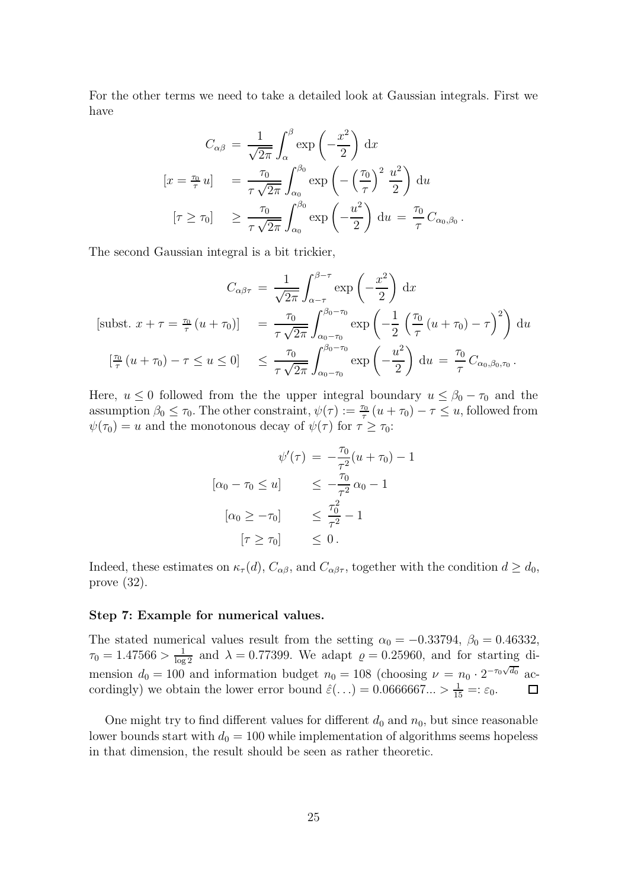For the other terms we need to take a detailed look at Gaussian integrals. First we have

$$
C_{\alpha\beta} = \frac{1}{\sqrt{2\pi}} \int_{\alpha}^{\beta} \exp\left(-\frac{x^2}{2}\right) dx
$$
  
\n
$$
[x = \frac{\tau_0}{\tau} u] = \frac{\tau_0}{\tau \sqrt{2\pi}} \int_{\alpha_0}^{\beta_0} \exp\left(-\left(\frac{\tau_0}{\tau}\right)^2 \frac{u^2}{2}\right) du
$$
  
\n
$$
[\tau \ge \tau_0] \ge \frac{\tau_0}{\tau \sqrt{2\pi}} \int_{\alpha_0}^{\beta_0} \exp\left(-\frac{u^2}{2}\right) du = \frac{\tau_0}{\tau} C_{\alpha_0, \beta_0}.
$$

The second Gaussian integral is a bit trickier,

$$
C_{\alpha\beta\tau} = \frac{1}{\sqrt{2\pi}} \int_{\alpha-\tau}^{\beta-\tau} \exp\left(-\frac{x^2}{2}\right) dx
$$
  
\n[subset x + \tau =  $\frac{\tau_0}{\tau} (u + \tau_0)$ ] =  $\frac{\tau_0}{\tau \sqrt{2\pi}} \int_{\alpha_0-\tau_0}^{\beta_0-\tau_0} \exp\left(-\frac{1}{2} \left(\frac{\tau_0}{\tau} (u + \tau_0) - \tau\right)^2\right) du$   
\n[ $\frac{\tau_0}{\tau} (u + \tau_0) - \tau \le u \le 0$ ]  $\le \frac{\tau_0}{\tau \sqrt{2\pi}} \int_{\alpha_0-\tau_0}^{\beta_0-\tau_0} \exp\left(-\frac{u^2}{2}\right) du = \frac{\tau_0}{\tau} C_{\alpha_0,\beta_0,\tau_0}.$ 

Here,  $u \leq 0$  followed from the the upper integral boundary  $u \leq \beta_0 - \tau_0$  and the assumption  $\beta_0 \le \tau_0$ . The other constraint,  $\psi(\tau) := \frac{\tau_0}{\tau} (u + \tau_0) - \tau \le u$ , followed from  $\psi(\tau_0) = u$  and the monotonous decay of  $\psi(\tau)$  for  $\tau \geq \tau_0$ :

$$
\psi'(\tau) = -\frac{\tau_0}{\tau^2}(u + \tau_0) - 1
$$

$$
[\alpha_0 - \tau_0 \le u] \le -\frac{\tau_0}{\tau^2} \alpha_0 - 1
$$

$$
[\alpha_0 \ge -\tau_0] \le \frac{\tau_0^2}{\tau^2} - 1
$$

$$
[\tau \ge \tau_0] \le 0.
$$

<span id="page-24-0"></span>Indeed, these estimates on  $\kappa_{\tau}(d)$ ,  $C_{\alpha\beta}$ , and  $C_{\alpha\beta\tau}$ , together with the condition  $d \geq d_0$ , prove [\(32\)](#page-23-2).

#### Step 7: Example for numerical values.

The stated numerical values result from the setting  $\alpha_0 = -0.33794$ ,  $\beta_0 = 0.46332$ ,  $\tau_0 = 1.47566 > \frac{1}{\log 2}$  and  $\lambda = 0.77399$ . We adapt  $\varrho = 0.25960$ , and for starting dimension  $d_0 = 100$  and information budget  $n_0 = 108$  (choosing  $\nu = n_0 \cdot 2^{-\tau_0 \sqrt{d_0}}$  accordingly) we obtain the lower error bound  $\hat{\varepsilon}(\ldots) = 0.0666667 \ldots > \frac{1}{15} =: \varepsilon_0$ .  $\Box$ 

One might try to find different values for different  $d_0$  and  $n_0$ , but since reasonable lower bounds start with  $d_0 = 100$  while implementation of algorithms seems hopeless in that dimension, the result should be seen as rather theoretic.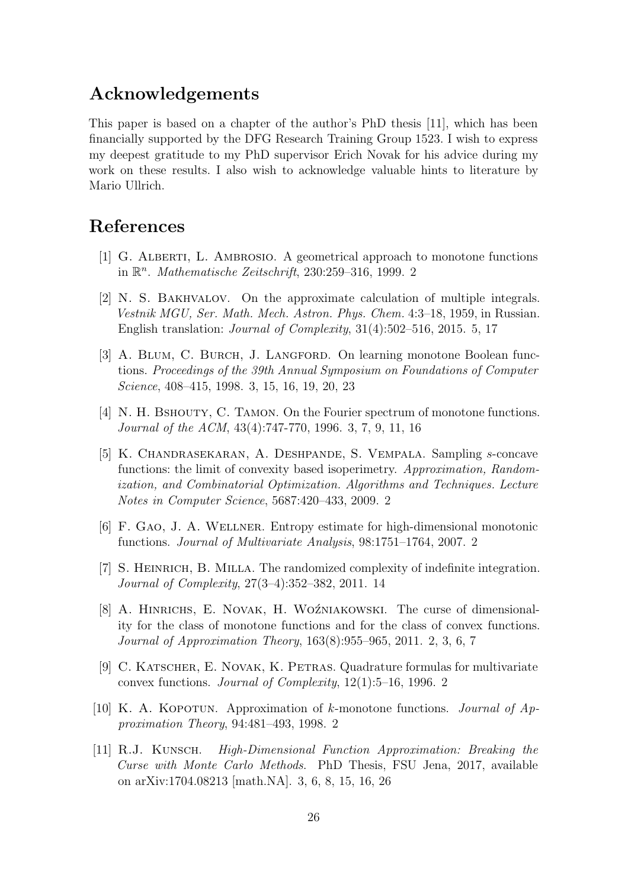### <span id="page-25-11"></span>Acknowledgements

This paper is based on a chapter of the author's PhD thesis [\[11\]](#page-25-8), which has been financially supported by the DFG Research Training Group 1523. I wish to express my deepest gratitude to my PhD supervisor Erich Novak for his advice during my work on these results. I also wish to acknowledge valuable hints to literature by Mario Ullrich.

# <span id="page-25-0"></span>References

- <span id="page-25-9"></span>[1] G. Alberti, L. Ambrosio. A geometrical approach to monotone functions in  $\mathbb{R}^n$ . *Mathematische Zeitschrift*, [2](#page-1-0)30:259–316, 1999. 2
- [2] N. S. Bakhvalov. On the approximate calculation of multiple integrals. Vestnik MGU, Ser. Math. Mech. Astron. Phys. Chem. 4:3–18, 1959, in Russian. English translation: Journal of Complexity, 31(4):502–516, 2015. [5,](#page-4-0) [17](#page-16-2)
- <span id="page-25-7"></span>[3] A. Blum, C. Burch, J. Langford. On learning monotone Boolean functions. Proceedings of the 39th Annual Symposium on Foundations of Computer Science, 408–415, 1998. [3,](#page-2-0) [15,](#page-14-2) [16,](#page-15-2) [19,](#page-18-3) [20,](#page-19-5) [23](#page-22-6)
- <span id="page-25-6"></span>[4] N. H. BSHOUTY, C. TAMON. On the Fourier spectrum of monotone functions. Journal of the ACM, 43(4):747-770, 1996. [3,](#page-2-0) [7,](#page-6-1) [9,](#page-8-3) [11,](#page-10-4) [16](#page-15-2)
- <span id="page-25-3"></span>[5] K. Chandrasekaran, A. Deshpande, S. Vempala. Sampling s-concave functions: the limit of convexity based isoperimetry. Approximation, Randomization, and Combinatorial Optimization. Algorithms and Techniques. Lecture Notes in Computer Science, 5687:420–433, 2009. [2](#page-1-0)
- <span id="page-25-10"></span><span id="page-25-2"></span>[6] F. Gao, J. A. Wellner. Entropy estimate for high-dimensional monotonic functions. Journal of Multivariate Analysis, 98:1751–1764, 2007. [2](#page-1-0)
- <span id="page-25-1"></span>[7] S. Heinrich, B. Milla. The randomized complexity of indefinite integration. Journal of Complexity, 27(3–4):352–382, 2011. [14](#page-13-0)
- [8] A. HINRICHS, E. NOVAK, H. WOŹNIAKOWSKI. The curse of dimensionality for the class of monotone functions and for the class of convex functions. Journal of Approximation Theory, 163(8):955–965, 2011. [2,](#page-1-0) [3,](#page-2-0) [6,](#page-5-2) [7](#page-6-1)
- <span id="page-25-4"></span>[9] C. Katscher, E. Novak, K. Petras. Quadrature formulas for multivariate convex functions. Journal of Complexity, 12(1):5–16, 1996. [2](#page-1-0)
- <span id="page-25-8"></span><span id="page-25-5"></span>[10] K. A. KOPOTUN. Approximation of k-monotone functions. Journal of  $Ap$ proximation Theory, 94:481–493, 1998. [2](#page-1-0)
- [11] R.J. Kunsch. High-Dimensional Function Approximation: Breaking the Curse with Monte Carlo Methods. PhD Thesis, FSU Jena, 2017, available on arXiv:1704.08213 [math.NA]. [3,](#page-2-0) [6,](#page-5-2) [8,](#page-7-4) [15,](#page-14-2) [16,](#page-15-2) [26](#page-25-11)